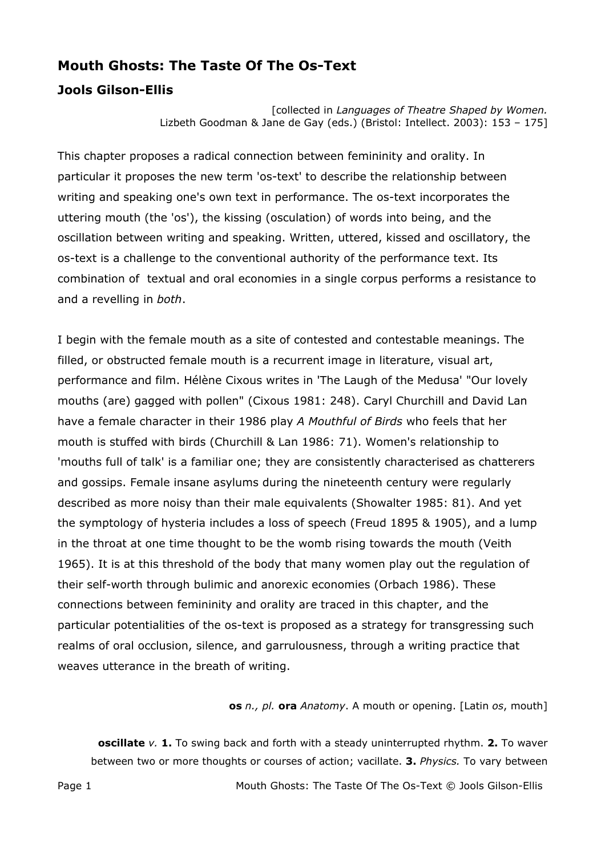# **Mouth Ghosts: The Taste Of The Os-Text Jools Gilson-Ellis**

[collected in *Languages of Theatre Shaped by Women.* Lizbeth Goodman & Jane de Gay (eds.) (Bristol: Intellect. 2003): 153 – 175]

This chapter proposes a radical connection between femininity and orality. In particular it proposes the new term 'os-text' to describe the relationship between writing and speaking one's own text in performance. The os-text incorporates the uttering mouth (the 'os'), the kissing (osculation) of words into being, and the oscillation between writing and speaking. Written, uttered, kissed and oscillatory, the os-text is a challenge to the conventional authority of the performance text. Its combination of textual and oral economies in a single corpus performs a resistance to and a revelling in *both*.

I begin with the female mouth as a site of contested and contestable meanings. The filled, or obstructed female mouth is a recurrent image in literature, visual art, performance and film. Hélène Cixous writes in 'The Laugh of the Medusa' "Our lovely mouths (are) gagged with pollen" (Cixous 1981: 248). Caryl Churchill and David Lan have a female character in their 1986 play *A Mouthful of Birds* who feels that her mouth is stuffed with birds (Churchill & Lan 1986: 71). Women's relationship to 'mouths full of talk' is a familiar one; they are consistently characterised as chatterers and gossips. Female insane asylums during the nineteenth century were regularly described as more noisy than their male equivalents (Showalter 1985: 81). And yet the symptology of hysteria includes a loss of speech (Freud 1895 & 1905), and a lump in the throat at one time thought to be the womb rising towards the mouth (Veith 1965). It is at this threshold of the body that many women play out the regulation of their self-worth through bulimic and anorexic economies (Orbach 1986). These connections between femininity and orality are traced in this chapter, and the particular potentialities of the os-text is proposed as a strategy for transgressing such realms of oral occlusion, silence, and garrulousness, through a writing practice that weaves utterance in the breath of writing.

**os** *n., pl.* **ora** *Anatomy*. A mouth or opening. [Latin *os*, mouth]

**oscillate** *v.* **1.** To swing back and forth with a steady uninterrupted rhythm. **2.** To waver between two or more thoughts or courses of action; vacillate. **3.** *Physics.* To vary between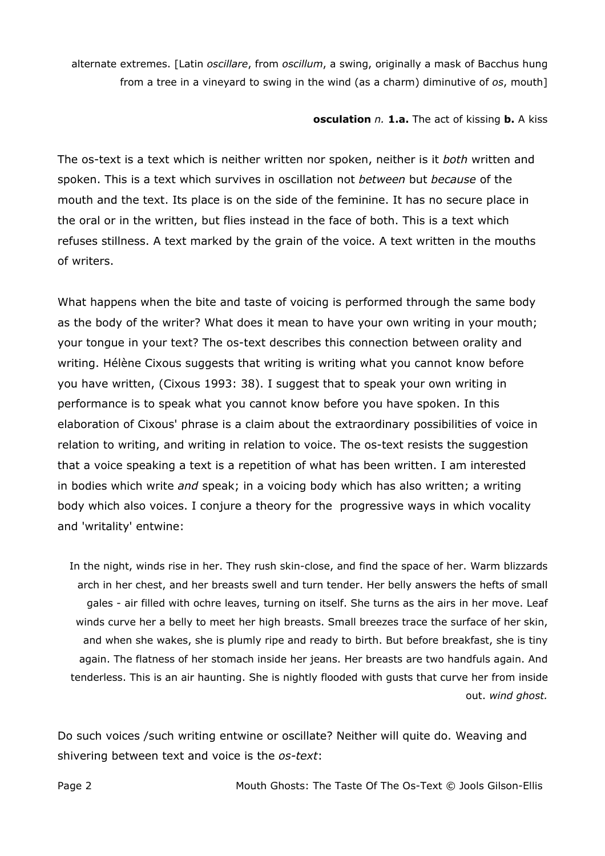alternate extremes. [Latin *oscillare*, from *oscillum*, a swing, originally a mask of Bacchus hung from a tree in a vineyard to swing in the wind (as a charm) diminutive of *os*, mouth]

#### **osculation** *n.* **1.a.** The act of kissing **b.** A kiss

The os-text is a text which is neither written nor spoken, neither is it *both* written and spoken. This is a text which survives in oscillation not *between* but *because* of the mouth and the text. Its place is on the side of the feminine. It has no secure place in the oral or in the written, but flies instead in the face of both. This is a text which refuses stillness. A text marked by the grain of the voice. A text written in the mouths of writers.

What happens when the bite and taste of voicing is performed through the same body as the body of the writer? What does it mean to have your own writing in your mouth; your tongue in your text? The os-text describes this connection between orality and writing. Hélène Cixous suggests that writing is writing what you cannot know before you have written, (Cixous 1993: 38). I suggest that to speak your own writing in performance is to speak what you cannot know before you have spoken. In this elaboration of Cixous' phrase is a claim about the extraordinary possibilities of voice in relation to writing, and writing in relation to voice. The os-text resists the suggestion that a voice speaking a text is a repetition of what has been written. I am interested in bodies which write *and* speak; in a voicing body which has also written; a writing body which also voices. I conjure a theory for the progressive ways in which vocality and 'writality' entwine:

In the night, winds rise in her. They rush skin-close, and find the space of her. Warm blizzards arch in her chest, and her breasts swell and turn tender. Her belly answers the hefts of small gales - air filled with ochre leaves, turning on itself. She turns as the airs in her move. Leaf winds curve her a belly to meet her high breasts. Small breezes trace the surface of her skin, and when she wakes, she is plumly ripe and ready to birth. But before breakfast, she is tiny again. The flatness of her stomach inside her jeans. Her breasts are two handfuls again. And tenderless. This is an air haunting. She is nightly flooded with gusts that curve her from inside out. *wind ghost.*

Do such voices /such writing entwine or oscillate? Neither will quite do. Weaving and shivering between text and voice is the *os-text*: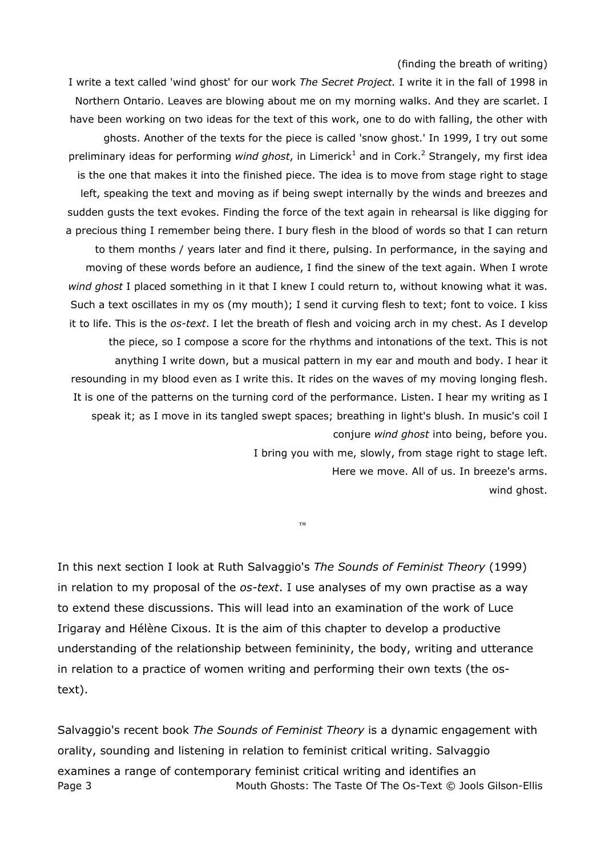(finding the breath of writing)

I write a text called 'wind ghost' for our work *The Secret Project.* I write it in the fall of 1998 in Northern Ontario. Leaves are blowing about me on my morning walks. And they are scarlet. I have been working on two ideas for the text of this work, one to do with falling, the other with ghosts. Another of the texts for the piece is called 'snow ghost.' In 1999, I try out some preliminary ideas for performing *wind ghost*, in Limerick<sup>1</sup> and in Cork.<sup>2</sup> Strangely, my first idea is the one that makes it into the finished piece. The idea is to move from stage right to stage left, speaking the text and moving as if being swept internally by the winds and breezes and sudden gusts the text evokes. Finding the force of the text again in rehearsal is like digging for a precious thing I remember being there. I bury flesh in the blood of words so that I can return to them months / years later and find it there, pulsing. In performance, in the saying and moving of these words before an audience, I find the sinew of the text again. When I wrote *wind ghost* I placed something in it that I knew I could return to, without knowing what it was. Such a text oscillates in my os (my mouth); I send it curving flesh to text; font to voice. I kiss it to life. This is the *os-text*. I let the breath of flesh and voicing arch in my chest. As I develop the piece, so I compose a score for the rhythms and intonations of the text. This is not anything I write down, but a musical pattern in my ear and mouth and body. I hear it resounding in my blood even as I write this. It rides on the waves of my moving longing flesh. It is one of the patterns on the turning cord of the performance. Listen. I hear my writing as I speak it; as I move in its tangled swept spaces; breathing in light's blush. In music's coil I conjure *wind ghost* into being, before you. I bring you with me, slowly, from stage right to stage left. Here we move. All of us. In breeze's arms.

wind ghost.

In this next section I look at Ruth Salvaggio's *The Sounds of Feminist Theory* (1999) in relation to my proposal of the *os-text*. I use analyses of my own practise as a way to extend these discussions. This will lead into an examination of the work of Luce Irigaray and Hélène Cixous. It is the aim of this chapter to develop a productive understanding of the relationship between femininity, the body, writing and utterance in relation to a practice of women writing and performing their own texts (the ostext).

**TM** 

Page 3 Mouth Ghosts: The Taste Of The Os-Text © Jools Gilson-Ellis Salvaggio's recent book *The Sounds of Feminist Theory* is a dynamic engagement with orality, sounding and listening in relation to feminist critical writing. Salvaggio examines a range of contemporary feminist critical writing and identifies an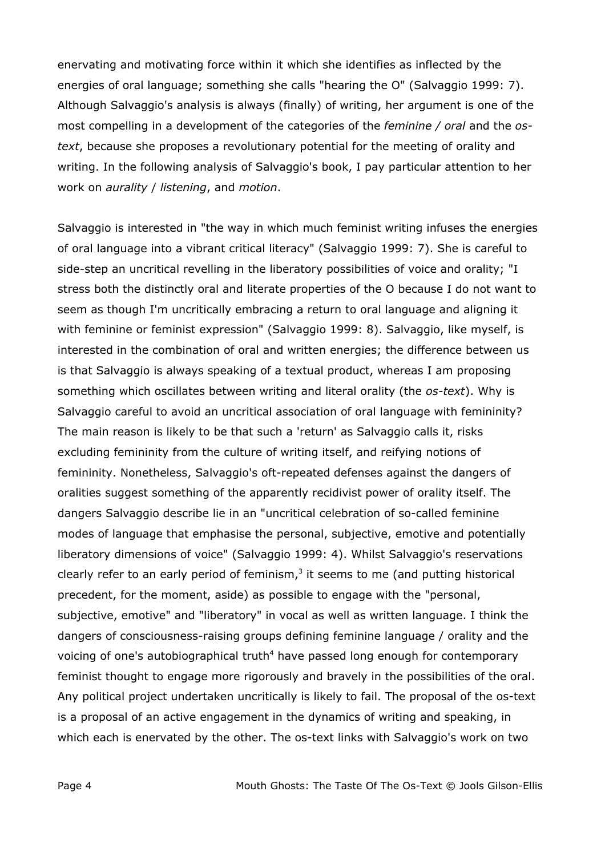enervating and motivating force within it which she identifies as inflected by the energies of oral language; something she calls "hearing the O" (Salvaggio 1999: 7). Although Salvaggio's analysis is always (finally) of writing, her argument is one of the most compelling in a development of the categories of the *feminine / oral* and the *ostext*, because she proposes a revolutionary potential for the meeting of orality and writing. In the following analysis of Salvaggio's book, I pay particular attention to her work on *aurality* / *listening*, and *motion*.

Salvaggio is interested in "the way in which much feminist writing infuses the energies of oral language into a vibrant critical literacy" (Salvaggio 1999: 7). She is careful to side-step an uncritical revelling in the liberatory possibilities of voice and orality; "I stress both the distinctly oral and literate properties of the O because I do not want to seem as though I'm uncritically embracing a return to oral language and aligning it with feminine or feminist expression" (Salvaggio 1999: 8). Salvaggio, like myself, is interested in the combination of oral and written energies; the difference between us is that Salvaggio is always speaking of a textual product, whereas I am proposing something which oscillates between writing and literal orality (the *os-text*). Why is Salvaggio careful to avoid an uncritical association of oral language with femininity? The main reason is likely to be that such a 'return' as Salvaggio calls it, risks excluding femininity from the culture of writing itself, and reifying notions of femininity. Nonetheless, Salvaggio's oft-repeated defenses against the dangers of oralities suggest something of the apparently recidivist power of orality itself. The dangers Salvaggio describe lie in an "uncritical celebration of so-called feminine modes of language that emphasise the personal, subjective, emotive and potentially liberatory dimensions of voice" (Salvaggio 1999: 4). Whilst Salvaggio's reservations clearly refer to an early period of feminism, $3$  it seems to me (and putting historical precedent, for the moment, aside) as possible to engage with the "personal, subjective, emotive" and "liberatory" in vocal as well as written language. I think the dangers of consciousness-raising groups defining feminine language / orality and the voicing of one's autobiographical truth<sup>4</sup> have passed long enough for contemporary feminist thought to engage more rigorously and bravely in the possibilities of the oral. Any political project undertaken uncritically is likely to fail. The proposal of the os-text is a proposal of an active engagement in the dynamics of writing and speaking, in which each is enervated by the other. The os-text links with Salvaggio's work on two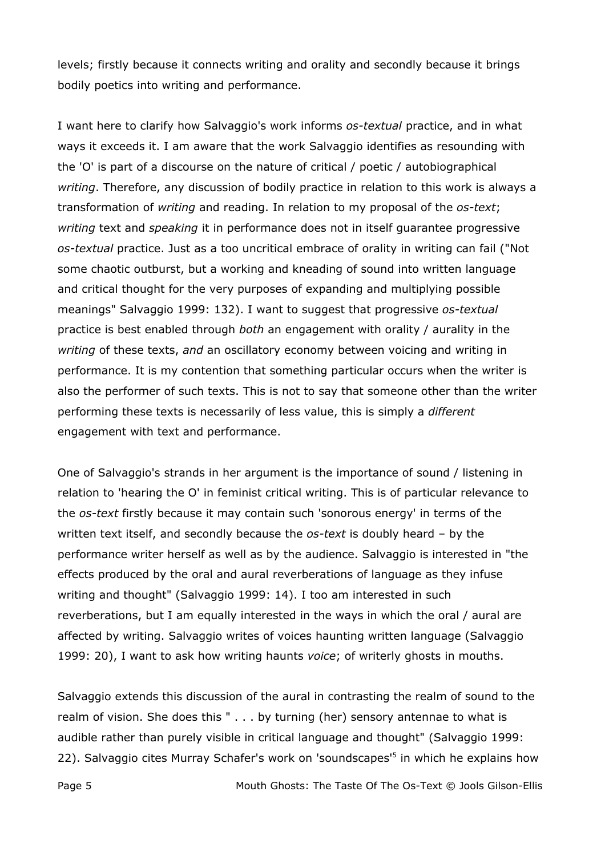levels; firstly because it connects writing and orality and secondly because it brings bodily poetics into writing and performance.

I want here to clarify how Salvaggio's work informs *os-textual* practice, and in what ways it exceeds it. I am aware that the work Salvaggio identifies as resounding with the 'O' is part of a discourse on the nature of critical / poetic / autobiographical *writing*. Therefore, any discussion of bodily practice in relation to this work is always a transformation of *writing* and reading. In relation to my proposal of the *os-text*; *writing* text and *speaking* it in performance does not in itself guarantee progressive *os-textual* practice. Just as a too uncritical embrace of orality in writing can fail ("Not some chaotic outburst, but a working and kneading of sound into written language and critical thought for the very purposes of expanding and multiplying possible meanings" Salvaggio 1999: 132). I want to suggest that progressive *os-textual* practice is best enabled through *both* an engagement with orality / aurality in the *writing* of these texts, *and* an oscillatory economy between voicing and writing in performance. It is my contention that something particular occurs when the writer is also the performer of such texts. This is not to say that someone other than the writer performing these texts is necessarily of less value, this is simply a *different* engagement with text and performance.

One of Salvaggio's strands in her argument is the importance of sound / listening in relation to 'hearing the O' in feminist critical writing. This is of particular relevance to the *os-text* firstly because it may contain such 'sonorous energy' in terms of the written text itself, and secondly because the *os-text* is doubly heard – by the performance writer herself as well as by the audience. Salvaggio is interested in "the effects produced by the oral and aural reverberations of language as they infuse writing and thought" (Salvaggio 1999: 14). I too am interested in such reverberations, but I am equally interested in the ways in which the oral / aural are affected by writing. Salvaggio writes of voices haunting written language (Salvaggio 1999: 20), I want to ask how writing haunts *voice*; of writerly ghosts in mouths.

Salvaggio extends this discussion of the aural in contrasting the realm of sound to the realm of vision. She does this " . . . by turning (her) sensory antennae to what is audible rather than purely visible in critical language and thought" (Salvaggio 1999: 22). Salvaggio cites Murray Schafer's work on 'soundscapes'<sup>5</sup> in which he explains how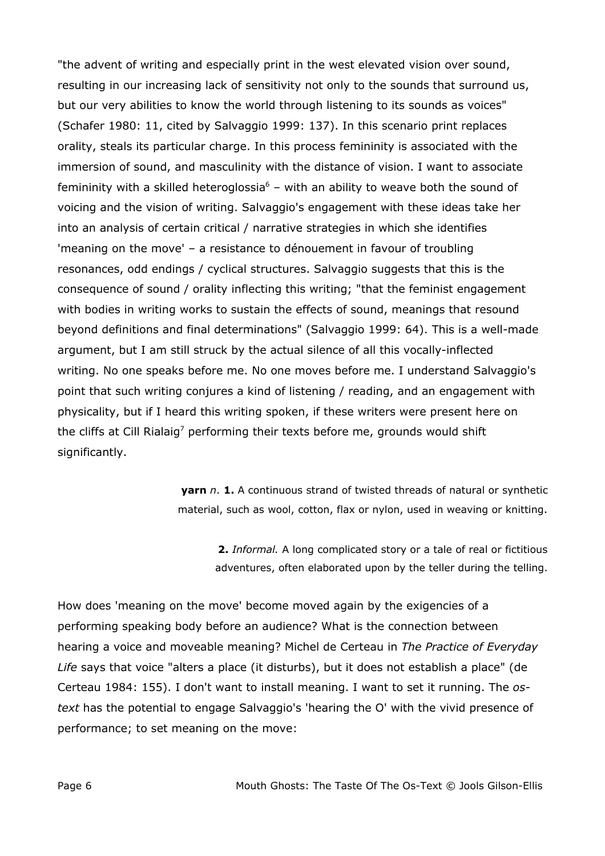"the advent of writing and especially print in the west elevated vision over sound, resulting in our increasing lack of sensitivity not only to the sounds that surround us, but our very abilities to know the world through listening to its sounds as voices" (Schafer 1980: 11, cited by Salvaggio 1999: 137). In this scenario print replaces orality, steals its particular charge. In this process femininity is associated with the immersion of sound, and masculinity with the distance of vision. I want to associate femininity with a skilled heteroglossia<sup>6</sup> – with an ability to weave both the sound of voicing and the vision of writing. Salvaggio's engagement with these ideas take her into an analysis of certain critical / narrative strategies in which she identifies 'meaning on the move' – a resistance to dénouement in favour of troubling resonances, odd endings / cyclical structures. Salvaggio suggests that this is the consequence of sound / orality inflecting this writing; "that the feminist engagement with bodies in writing works to sustain the effects of sound, meanings that resound beyond definitions and final determinations" (Salvaggio 1999: 64). This is a well-made argument, but I am still struck by the actual silence of all this vocally-inflected writing. No one speaks before me. No one moves before me. I understand Salvaggio's point that such writing conjures a kind of listening / reading, and an engagement with physicality, but if I heard this writing spoken, if these writers were present here on the cliffs at Cill Rialaig<sup>7</sup> performing their texts before me, grounds would shift significantly.

> **yarn** *n*. **1.** A continuous strand of twisted threads of natural or synthetic material, such as wool, cotton, flax or nylon, used in weaving or knitting.

**2.** *Informal.* A long complicated story or a tale of real or fictitious adventures, often elaborated upon by the teller during the telling.

How does 'meaning on the move' become moved again by the exigencies of a performing speaking body before an audience? What is the connection between hearing a voice and moveable meaning? Michel de Certeau in *The Practice of Everyday Life* says that voice "alters a place (it disturbs), but it does not establish a place" (de Certeau 1984: 155). I don't want to install meaning. I want to set it running. The *ostext* has the potential to engage Salvaggio's 'hearing the O' with the vivid presence of performance; to set meaning on the move: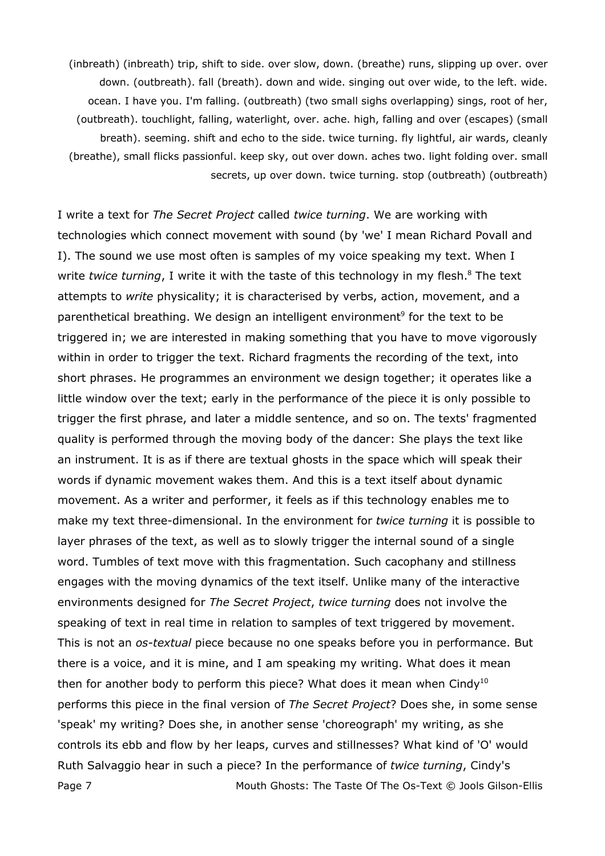(inbreath) (inbreath) trip, shift to side. over slow, down. (breathe) runs, slipping up over. over down. (outbreath). fall (breath). down and wide. singing out over wide, to the left. wide. ocean. I have you. I'm falling. (outbreath) (two small sighs overlapping) sings, root of her, (outbreath). touchlight, falling, waterlight, over. ache. high, falling and over (escapes) (small breath). seeming. shift and echo to the side. twice turning. fly lightful, air wards, cleanly (breathe), small flicks passionful. keep sky, out over down. aches two. light folding over. small secrets, up over down. twice turning. stop (outbreath) (outbreath)

Page 7 Mouth Ghosts: The Taste Of The Os-Text © Jools Gilson-Ellis I write a text for *The Secret Project* called *twice turning*. We are working with technologies which connect movement with sound (by 'we' I mean Richard Povall and I). The sound we use most often is samples of my voice speaking my text. When I write twice turning, I write it with the taste of this technology in my flesh.<sup>8</sup> The text attempts to *write* physicality; it is characterised by verbs, action, movement, and a parenthetical breathing. We design an intelligent environment<sup>9</sup> for the text to be triggered in; we are interested in making something that you have to move vigorously within in order to trigger the text. Richard fragments the recording of the text, into short phrases. He programmes an environment we design together; it operates like a little window over the text; early in the performance of the piece it is only possible to trigger the first phrase, and later a middle sentence, and so on. The texts' fragmented quality is performed through the moving body of the dancer: She plays the text like an instrument. It is as if there are textual ghosts in the space which will speak their words if dynamic movement wakes them. And this is a text itself about dynamic movement. As a writer and performer, it feels as if this technology enables me to make my text three-dimensional. In the environment for *twice turning* it is possible to layer phrases of the text, as well as to slowly trigger the internal sound of a single word. Tumbles of text move with this fragmentation. Such cacophany and stillness engages with the moving dynamics of the text itself. Unlike many of the interactive environments designed for *The Secret Project*, *twice turning* does not involve the speaking of text in real time in relation to samples of text triggered by movement. This is not an *os-textual* piece because no one speaks before you in performance. But there is a voice, and it is mine, and I am speaking my writing. What does it mean then for another body to perform this piece? What does it mean when Cindy<sup>10</sup> performs this piece in the final version of *The Secret Project*? Does she, in some sense 'speak' my writing? Does she, in another sense 'choreograph' my writing, as she controls its ebb and flow by her leaps, curves and stillnesses? What kind of 'O' would Ruth Salvaggio hear in such a piece? In the performance of *twice turning*, Cindy's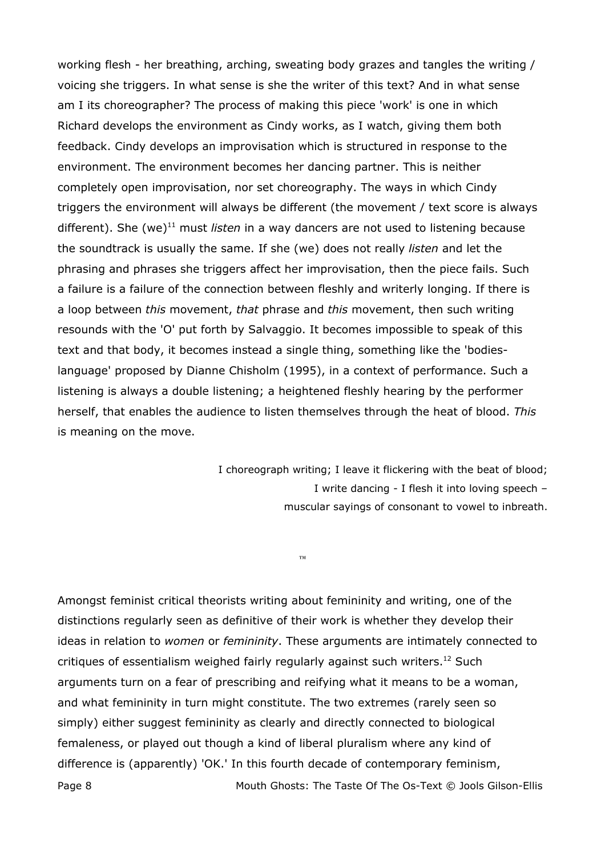working flesh - her breathing, arching, sweating body grazes and tangles the writing / voicing she triggers. In what sense is she the writer of this text? And in what sense am I its choreographer? The process of making this piece 'work' is one in which Richard develops the environment as Cindy works, as I watch, giving them both feedback. Cindy develops an improvisation which is structured in response to the environment. The environment becomes her dancing partner. This is neither completely open improvisation, nor set choreography. The ways in which Cindy triggers the environment will always be different (the movement / text score is always different). She (we)<sup>11</sup> must *listen* in a way dancers are not used to listening because the soundtrack is usually the same. If she (we) does not really *listen* and let the phrasing and phrases she triggers affect her improvisation, then the piece fails. Such a failure is a failure of the connection between fleshly and writerly longing. If there is a loop between *this* movement, *that* phrase and *this* movement, then such writing resounds with the 'O' put forth by Salvaggio. It becomes impossible to speak of this text and that body, it becomes instead a single thing, something like the 'bodieslanguage' proposed by Dianne Chisholm (1995), in a context of performance. Such a listening is always a double listening; a heightened fleshly hearing by the performer herself, that enables the audience to listen themselves through the heat of blood. *This* is meaning on the move.

> I choreograph writing; I leave it flickering with the beat of blood; I write dancing - I flesh it into loving speech – muscular sayings of consonant to vowel to inbreath.

Page 8 Mouth Ghosts: The Taste Of The Os-Text © Jools Gilson-Ellis Amongst feminist critical theorists writing about femininity and writing, one of the distinctions regularly seen as definitive of their work is whether they develop their ideas in relation to *women* or *femininity*. These arguments are intimately connected to critiques of essentialism weighed fairly regularly against such writers.<sup>12</sup> Such arguments turn on a fear of prescribing and reifying what it means to be a woman, and what femininity in turn might constitute. The two extremes (rarely seen so simply) either suggest femininity as clearly and directly connected to biological femaleness, or played out though a kind of liberal pluralism where any kind of difference is (apparently) 'OK.' In this fourth decade of contemporary feminism,

**TM**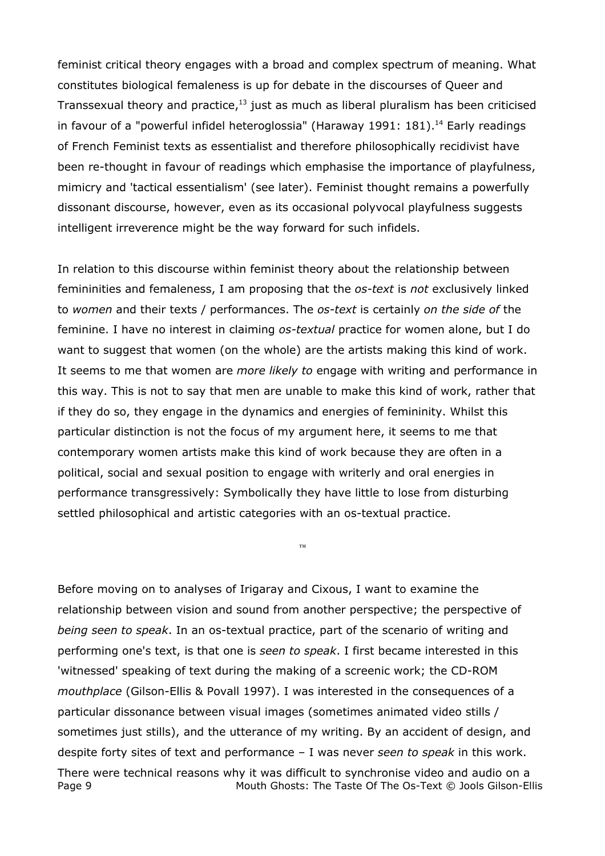feminist critical theory engages with a broad and complex spectrum of meaning. What constitutes biological femaleness is up for debate in the discourses of Queer and Transsexual theory and practice, $^{13}$  just as much as liberal pluralism has been criticised in favour of a "powerful infidel heteroglossia" (Haraway 1991: 181).<sup>14</sup> Early readings of French Feminist texts as essentialist and therefore philosophically recidivist have been re-thought in favour of readings which emphasise the importance of playfulness, mimicry and 'tactical essentialism' (see later). Feminist thought remains a powerfully dissonant discourse, however, even as its occasional polyvocal playfulness suggests intelligent irreverence might be the way forward for such infidels.

In relation to this discourse within feminist theory about the relationship between femininities and femaleness, I am proposing that the *os-text* is *not* exclusively linked to *women* and their texts / performances. The *os-text* is certainly *on the side of* the feminine. I have no interest in claiming *os-textual* practice for women alone, but I do want to suggest that women (on the whole) are the artists making this kind of work. It seems to me that women are *more likely to* engage with writing and performance in this way. This is not to say that men are unable to make this kind of work, rather that if they do so, they engage in the dynamics and energies of femininity. Whilst this particular distinction is not the focus of my argument here, it seems to me that contemporary women artists make this kind of work because they are often in a political, social and sexual position to engage with writerly and oral energies in performance transgressively: Symbolically they have little to lose from disturbing settled philosophical and artistic categories with an os-textual practice.

Page 9 Mouth Ghosts: The Taste Of The Os-Text © Jools Gilson-Ellis Before moving on to analyses of Irigaray and Cixous, I want to examine the relationship between vision and sound from another perspective; the perspective of *being seen to speak*. In an os-textual practice, part of the scenario of writing and performing one's text, is that one is *seen to speak*. I first became interested in this 'witnessed' speaking of text during the making of a screenic work; the CD-ROM *mouthplace* (Gilson-Ellis & Povall 1997). I was interested in the consequences of a particular dissonance between visual images (sometimes animated video stills / sometimes just stills), and the utterance of my writing. By an accident of design, and despite forty sites of text and performance – I was never *seen to speak* in this work. There were technical reasons why it was difficult to synchronise video and audio on a

**TM**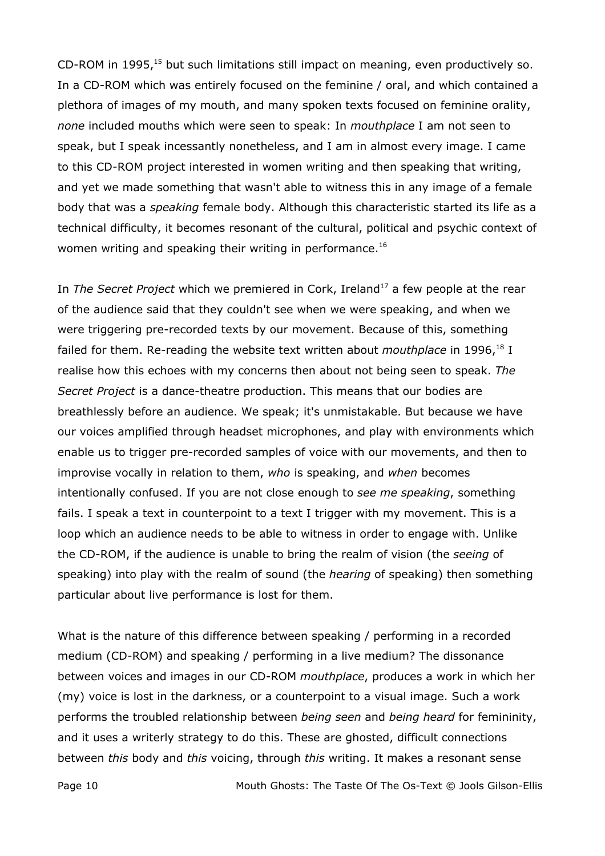CD-ROM in 1995,<sup>15</sup> but such limitations still impact on meaning, even productively so. In a CD-ROM which was entirely focused on the feminine / oral, and which contained a plethora of images of my mouth, and many spoken texts focused on feminine orality, *none* included mouths which were seen to speak: In *mouthplace* I am not seen to speak, but I speak incessantly nonetheless, and I am in almost every image. I came to this CD-ROM project interested in women writing and then speaking that writing, and yet we made something that wasn't able to witness this in any image of a female body that was a *speaking* female body. Although this characteristic started its life as a technical difficulty, it becomes resonant of the cultural, political and psychic context of women writing and speaking their writing in performance.<sup>16</sup>

In *The Secret Project* which we premiered in Cork, Ireland<sup>17</sup> a few people at the rear of the audience said that they couldn't see when we were speaking, and when we were triggering pre-recorded texts by our movement. Because of this, something failed for them. Re-reading the website text written about *mouthplace* in 1996,<sup>18</sup> I realise how this echoes with my concerns then about not being seen to speak. *The Secret Project* is a dance-theatre production. This means that our bodies are breathlessly before an audience. We speak; it's unmistakable. But because we have our voices amplified through headset microphones, and play with environments which enable us to trigger pre-recorded samples of voice with our movements, and then to improvise vocally in relation to them, *who* is speaking, and *when* becomes intentionally confused. If you are not close enough to *see me speaking*, something fails. I speak a text in counterpoint to a text I trigger with my movement. This is a loop which an audience needs to be able to witness in order to engage with. Unlike the CD-ROM, if the audience is unable to bring the realm of vision (the *seeing* of speaking) into play with the realm of sound (the *hearing* of speaking) then something particular about live performance is lost for them.

What is the nature of this difference between speaking / performing in a recorded medium (CD-ROM) and speaking / performing in a live medium? The dissonance between voices and images in our CD-ROM *mouthplace*, produces a work in which her (my) voice is lost in the darkness, or a counterpoint to a visual image. Such a work performs the troubled relationship between *being seen* and *being heard* for femininity, and it uses a writerly strategy to do this. These are ghosted, difficult connections between *this* body and *this* voicing, through *this* writing. It makes a resonant sense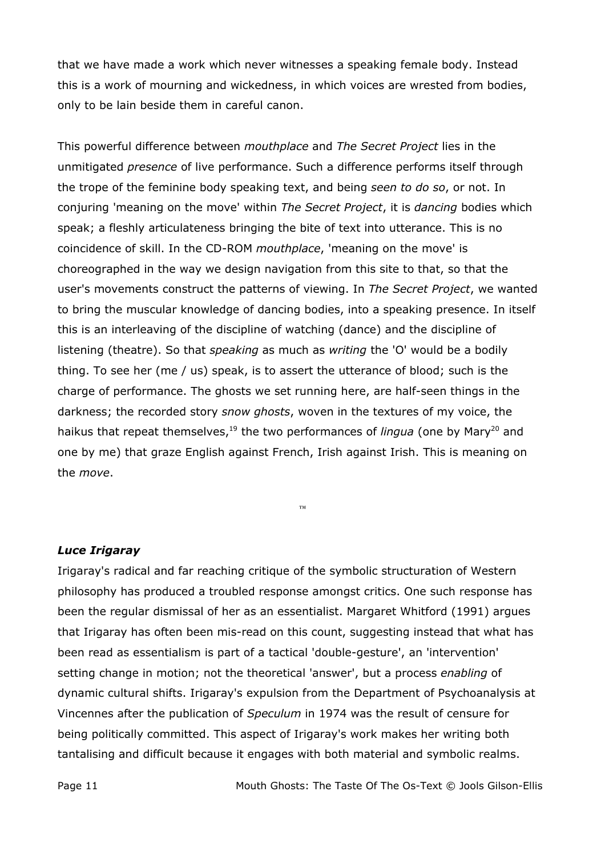that we have made a work which never witnesses a speaking female body. Instead this is a work of mourning and wickedness, in which voices are wrested from bodies, only to be lain beside them in careful canon.

This powerful difference between *mouthplace* and *The Secret Project* lies in the unmitigated *presence* of live performance. Such a difference performs itself through the trope of the feminine body speaking text, and being *seen to do so*, or not. In conjuring 'meaning on the move' within *The Secret Project*, it is *dancing* bodies which speak; a fleshly articulateness bringing the bite of text into utterance. This is no coincidence of skill. In the CD-ROM *mouthplace*, 'meaning on the move' is choreographed in the way we design navigation from this site to that, so that the user's movements construct the patterns of viewing. In *The Secret Project*, we wanted to bring the muscular knowledge of dancing bodies, into a speaking presence. In itself this is an interleaving of the discipline of watching (dance) and the discipline of listening (theatre). So that *speaking* as much as *writing* the 'O' would be a bodily thing. To see her (me / us) speak, is to assert the utterance of blood; such is the charge of performance. The ghosts we set running here, are half-seen things in the darkness; the recorded story *snow ghosts*, woven in the textures of my voice, the haikus that repeat themselves,<sup>19</sup> the two performances of *lingua* (one by Mary<sup>20</sup> and one by me) that graze English against French, Irish against Irish. This is meaning on the *move*.

## *Luce Irigaray*

Irigaray's radical and far reaching critique of the symbolic structuration of Western philosophy has produced a troubled response amongst critics. One such response has been the regular dismissal of her as an essentialist. Margaret Whitford (1991) argues that Irigaray has often been mis-read on this count, suggesting instead that what has been read as essentialism is part of a tactical 'double-gesture', an 'intervention' setting change in motion; not the theoretical 'answer', but a process *enabling* of dynamic cultural shifts. Irigaray's expulsion from the Department of Psychoanalysis at Vincennes after the publication of *Speculum* in 1974 was the result of censure for being politically committed. This aspect of Irigaray's work makes her writing both tantalising and difficult because it engages with both material and symbolic realms.

**TM**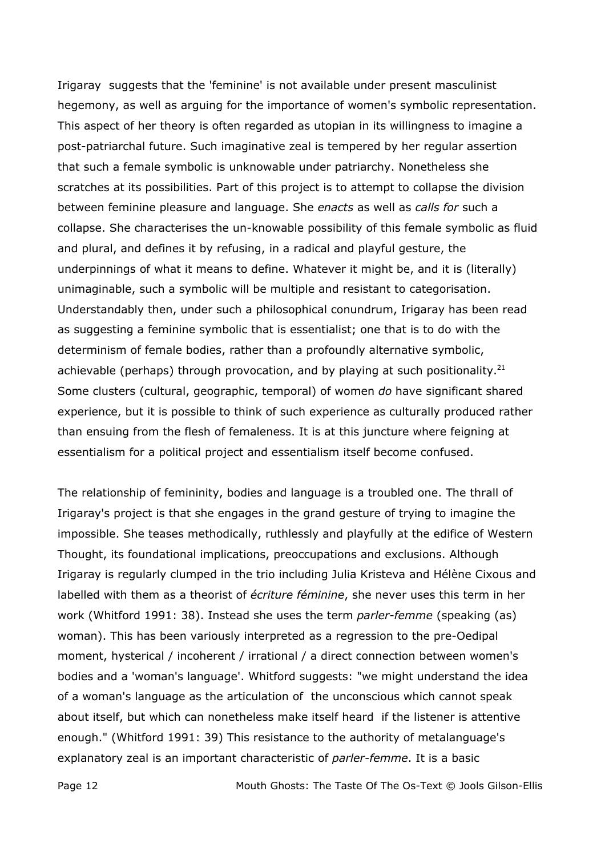Irigaray suggests that the 'feminine' is not available under present masculinist hegemony, as well as arguing for the importance of women's symbolic representation. This aspect of her theory is often regarded as utopian in its willingness to imagine a post-patriarchal future. Such imaginative zeal is tempered by her regular assertion that such a female symbolic is unknowable under patriarchy. Nonetheless she scratches at its possibilities. Part of this project is to attempt to collapse the division between feminine pleasure and language. She *enacts* as well as *calls for* such a collapse. She characterises the un-knowable possibility of this female symbolic as fluid and plural, and defines it by refusing, in a radical and playful gesture, the underpinnings of what it means to define. Whatever it might be, and it is (literally) unimaginable, such a symbolic will be multiple and resistant to categorisation. Understandably then, under such a philosophical conundrum, Irigaray has been read as suggesting a feminine symbolic that is essentialist; one that is to do with the determinism of female bodies, rather than a profoundly alternative symbolic, achievable (perhaps) through provocation, and by playing at such positionality.<sup>21</sup> Some clusters (cultural, geographic, temporal) of women *do* have significant shared experience, but it is possible to think of such experience as culturally produced rather than ensuing from the flesh of femaleness. It is at this juncture where feigning at essentialism for a political project and essentialism itself become confused.

The relationship of femininity, bodies and language is a troubled one. The thrall of Irigaray's project is that she engages in the grand gesture of trying to imagine the impossible. She teases methodically, ruthlessly and playfully at the edifice of Western Thought, its foundational implications, preoccupations and exclusions. Although Irigaray is regularly clumped in the trio including Julia Kristeva and Hélène Cixous and labelled with them as a theorist of *écriture féminine*, she never uses this term in her work (Whitford 1991: 38). Instead she uses the term *parler-femme* (speaking (as) woman). This has been variously interpreted as a regression to the pre-Oedipal moment, hysterical / incoherent / irrational / a direct connection between women's bodies and a 'woman's language'. Whitford suggests: "we might understand the idea of a woman's language as the articulation of the unconscious which cannot speak about itself, but which can nonetheless make itself heard if the listener is attentive enough." (Whitford 1991: 39) This resistance to the authority of metalanguage's explanatory zeal is an important characteristic of *parler-femme*. It is a basic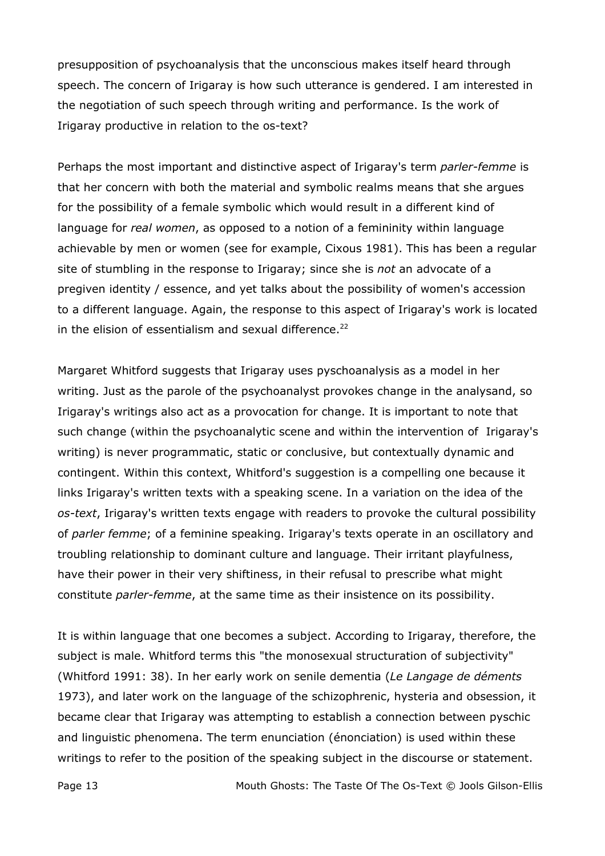presupposition of psychoanalysis that the unconscious makes itself heard through speech. The concern of Irigaray is how such utterance is gendered. I am interested in the negotiation of such speech through writing and performance. Is the work of Irigaray productive in relation to the os-text?

Perhaps the most important and distinctive aspect of Irigaray's term *parler-femme* is that her concern with both the material and symbolic realms means that she argues for the possibility of a female symbolic which would result in a different kind of language for *real women*, as opposed to a notion of a femininity within language achievable by men or women (see for example, Cixous 1981). This has been a regular site of stumbling in the response to Irigaray; since she is *not* an advocate of a pregiven identity / essence, and yet talks about the possibility of women's accession to a different language. Again, the response to this aspect of Irigaray's work is located in the elision of essentialism and sexual difference. $^{22}$ 

Margaret Whitford suggests that Irigaray uses pyschoanalysis as a model in her writing. Just as the parole of the psychoanalyst provokes change in the analysand, so Irigaray's writings also act as a provocation for change. It is important to note that such change (within the psychoanalytic scene and within the intervention of Irigaray's writing) is never programmatic, static or conclusive, but contextually dynamic and contingent. Within this context, Whitford's suggestion is a compelling one because it links Irigaray's written texts with a speaking scene. In a variation on the idea of the *os-text*, Irigaray's written texts engage with readers to provoke the cultural possibility of *parler femme*; of a feminine speaking. Irigaray's texts operate in an oscillatory and troubling relationship to dominant culture and language. Their irritant playfulness, have their power in their very shiftiness, in their refusal to prescribe what might constitute *parler-femme*, at the same time as their insistence on its possibility.

It is within language that one becomes a subject. According to Irigaray, therefore, the subject is male. Whitford terms this "the monosexual structuration of subjectivity" (Whitford 1991: 38). In her early work on senile dementia (*Le Langage de déments* 1973), and later work on the language of the schizophrenic, hysteria and obsession, it became clear that Irigaray was attempting to establish a connection between pyschic and linguistic phenomena. The term enunciation (énonciation) is used within these writings to refer to the position of the speaking subject in the discourse or statement.

Page 13 Mouth Ghosts: The Taste Of The Os-Text © Jools Gilson-Ellis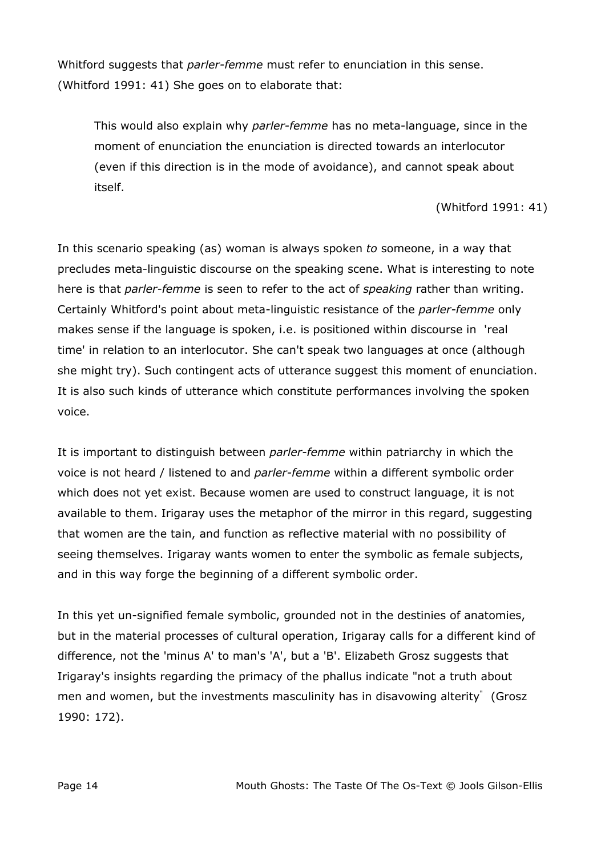Whitford suggests that *parler-femme* must refer to enunciation in this sense. (Whitford 1991: 41) She goes on to elaborate that:

This would also explain why *parler-femme* has no meta-language, since in the moment of enunciation the enunciation is directed towards an interlocutor (even if this direction is in the mode of avoidance), and cannot speak about itself.

## (Whitford 1991: 41)

In this scenario speaking (as) woman is always spoken *to* someone, in a way that precludes meta-linguistic discourse on the speaking scene. What is interesting to note here is that *parler-femme* is seen to refer to the act of *speaking* rather than writing. Certainly Whitford's point about meta-linguistic resistance of the *parler-femme* only makes sense if the language is spoken, i.e. is positioned within discourse in 'real time' in relation to an interlocutor. She can't speak two languages at once (although she might try). Such contingent acts of utterance suggest this moment of enunciation. It is also such kinds of utterance which constitute performances involving the spoken voice.

It is important to distinguish between *parler-femme* within patriarchy in which the voice is not heard / listened to and *parler-femme* within a different symbolic order which does not yet exist. Because women are used to construct language, it is not available to them. Irigaray uses the metaphor of the mirror in this regard, suggesting that women are the tain, and function as reflective material with no possibility of seeing themselves. Irigaray wants women to enter the symbolic as female subjects, and in this way forge the beginning of a different symbolic order.

In this yet un-signified female symbolic, grounded not in the destinies of anatomies, but in the material processes of cultural operation, Irigaray calls for a different kind of difference, not the 'minus A' to man's 'A', but a 'B'. Elizabeth Grosz suggests that Irigaray's insights regarding the primacy of the phallus indicate "not a truth about men and women, but the investments masculinity has in disavowing alterity<sup>"</sup> (Grosz 1990: 172).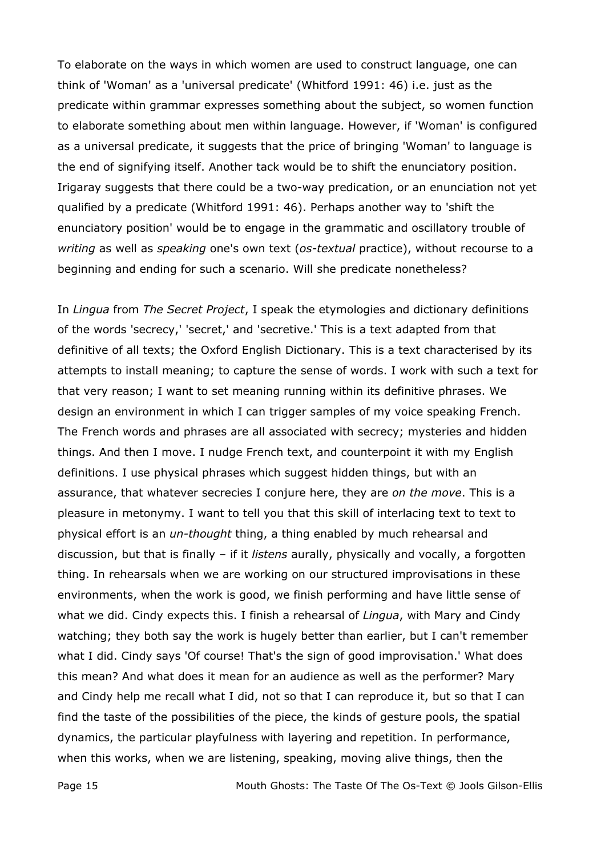To elaborate on the ways in which women are used to construct language, one can think of 'Woman' as a 'universal predicate' (Whitford 1991: 46) i.e. just as the predicate within grammar expresses something about the subject, so women function to elaborate something about men within language. However, if 'Woman' is configured as a universal predicate, it suggests that the price of bringing 'Woman' to language is the end of signifying itself. Another tack would be to shift the enunciatory position. Irigaray suggests that there could be a two-way predication, or an enunciation not yet qualified by a predicate (Whitford 1991: 46). Perhaps another way to 'shift the enunciatory position' would be to engage in the grammatic and oscillatory trouble of *writing* as well as *speaking* one's own text (*os-textual* practice), without recourse to a beginning and ending for such a scenario. Will she predicate nonetheless?

In *Lingua* from *The Secret Project*, I speak the etymologies and dictionary definitions of the words 'secrecy,' 'secret,' and 'secretive.' This is a text adapted from that definitive of all texts; the Oxford English Dictionary. This is a text characterised by its attempts to install meaning; to capture the sense of words. I work with such a text for that very reason; I want to set meaning running within its definitive phrases. We design an environment in which I can trigger samples of my voice speaking French. The French words and phrases are all associated with secrecy; mysteries and hidden things. And then I move. I nudge French text, and counterpoint it with my English definitions. I use physical phrases which suggest hidden things, but with an assurance, that whatever secrecies I conjure here, they are *on the move*. This is a pleasure in metonymy. I want to tell you that this skill of interlacing text to text to physical effort is an *un-thought* thing, a thing enabled by much rehearsal and discussion, but that is finally – if it *listens* aurally, physically and vocally, a forgotten thing. In rehearsals when we are working on our structured improvisations in these environments, when the work is good, we finish performing and have little sense of what we did. Cindy expects this. I finish a rehearsal of *Lingua*, with Mary and Cindy watching; they both say the work is hugely better than earlier, but I can't remember what I did. Cindy says 'Of course! That's the sign of good improvisation.' What does this mean? And what does it mean for an audience as well as the performer? Mary and Cindy help me recall what I did, not so that I can reproduce it, but so that I can find the taste of the possibilities of the piece, the kinds of gesture pools, the spatial dynamics, the particular playfulness with layering and repetition. In performance, when this works, when we are listening, speaking, moving alive things, then the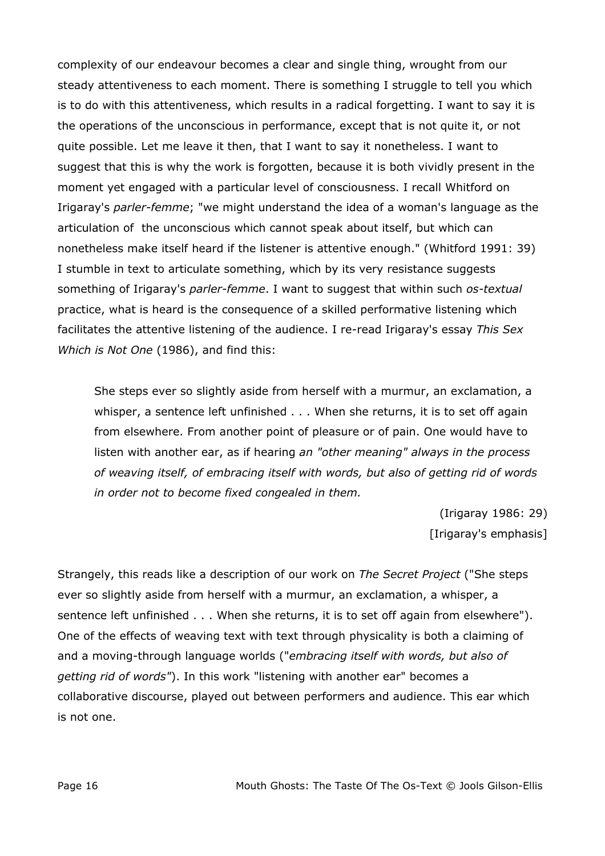complexity of our endeavour becomes a clear and single thing, wrought from our steady attentiveness to each moment. There is something I struggle to tell you which is to do with this attentiveness, which results in a radical forgetting. I want to say it is the operations of the unconscious in performance, except that is not quite it, or not quite possible. Let me leave it then, that I want to say it nonetheless. I want to suggest that this is why the work is forgotten, because it is both vividly present in the moment yet engaged with a particular level of consciousness. I recall Whitford on Irigaray's *parler-femme*; "we might understand the idea of a woman's language as the articulation of the unconscious which cannot speak about itself, but which can nonetheless make itself heard if the listener is attentive enough." (Whitford 1991: 39) I stumble in text to articulate something, which by its very resistance suggests something of Irigaray's *parler-femme*. I want to suggest that within such *os-textual* practice, what is heard is the consequence of a skilled performative listening which facilitates the attentive listening of the audience. I re-read Irigaray's essay *This Sex Which is Not One* (1986), and find this:

She steps ever so slightly aside from herself with a murmur, an exclamation, a whisper, a sentence left unfinished . . . When she returns, it is to set off again from elsewhere. From another point of pleasure or of pain. One would have to listen with another ear, as if hearing *an "other meaning" always in the process of weaving itself, of embracing itself with words, but also of getting rid of words in order not to become fixed congealed in them.*

> (Irigaray 1986: 29) [Irigaray's emphasis]

Strangely, this reads like a description of our work on *The Secret Project* ("She steps ever so slightly aside from herself with a murmur, an exclamation, a whisper, a sentence left unfinished . . . When she returns, it is to set off again from elsewhere"). One of the effects of weaving text with text through physicality is both a claiming of and a moving-through language worlds ("*embracing itself with words, but also of getting rid of words"*). In this work "listening with another ear" becomes a collaborative discourse, played out between performers and audience. This ear which is not one.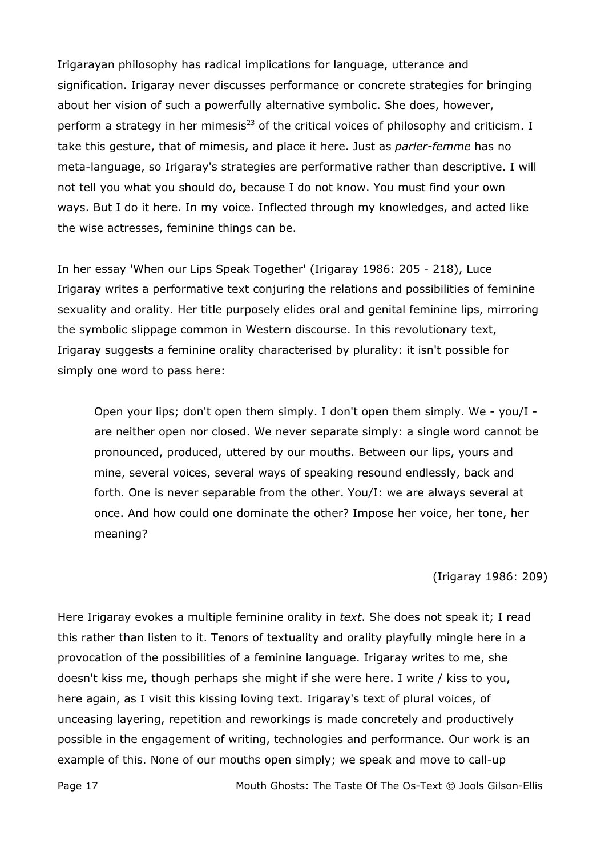Irigarayan philosophy has radical implications for language, utterance and signification. Irigaray never discusses performance or concrete strategies for bringing about her vision of such a powerfully alternative symbolic. She does, however, perform a strategy in her mimesis<sup>23</sup> of the critical voices of philosophy and criticism. I take this gesture, that of mimesis, and place it here. Just as *parler-femme* has no meta-language, so Irigaray's strategies are performative rather than descriptive. I will not tell you what you should do, because I do not know. You must find your own ways. But I do it here. In my voice. Inflected through my knowledges, and acted like the wise actresses, feminine things can be.

In her essay 'When our Lips Speak Together' (Irigaray 1986: 205 - 218), Luce Irigaray writes a performative text conjuring the relations and possibilities of feminine sexuality and orality. Her title purposely elides oral and genital feminine lips, mirroring the symbolic slippage common in Western discourse. In this revolutionary text, Irigaray suggests a feminine orality characterised by plurality: it isn't possible for simply one word to pass here:

Open your lips; don't open them simply. I don't open them simply. We - you/I are neither open nor closed. We never separate simply: a single word cannot be pronounced, produced, uttered by our mouths. Between our lips, yours and mine, several voices, several ways of speaking resound endlessly, back and forth. One is never separable from the other. You/I: we are always several at once. And how could one dominate the other? Impose her voice, her tone, her meaning?

(Irigaray 1986: 209)

Here Irigaray evokes a multiple feminine orality in *text*. She does not speak it; I read this rather than listen to it. Tenors of textuality and orality playfully mingle here in a provocation of the possibilities of a feminine language. Irigaray writes to me, she doesn't kiss me, though perhaps she might if she were here. I write / kiss to you, here again, as I visit this kissing loving text. Irigaray's text of plural voices, of unceasing layering, repetition and reworkings is made concretely and productively possible in the engagement of writing, technologies and performance. Our work is an example of this. None of our mouths open simply; we speak and move to call-up

Page 17 Mouth Ghosts: The Taste Of The Os-Text © Jools Gilson-Ellis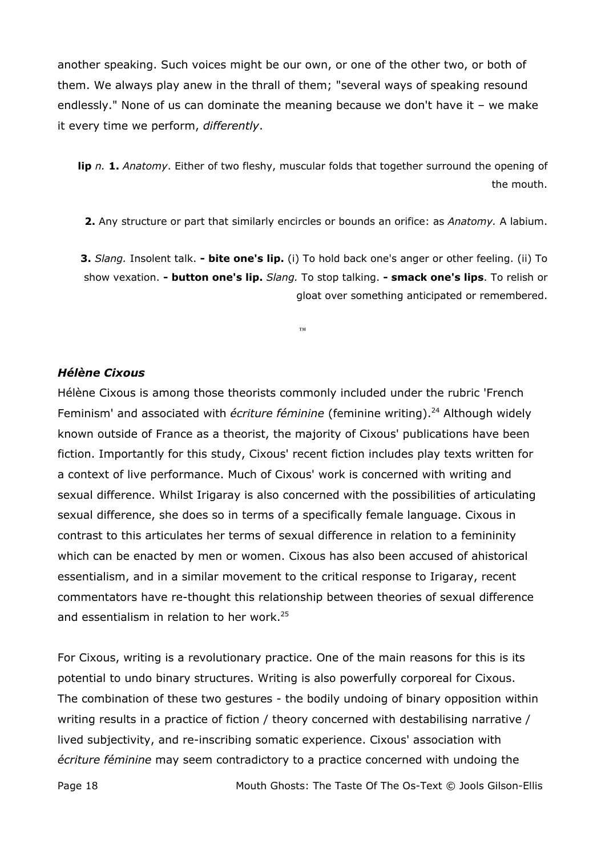another speaking. Such voices might be our own, or one of the other two, or both of them. We always play anew in the thrall of them; "several ways of speaking resound endlessly." None of us can dominate the meaning because we don't have it – we make it every time we perform, *differently*.

**lip** *n.* **1.** *Anatomy*. Either of two fleshy, muscular folds that together surround the opening of the mouth.

**2.** Any structure or part that similarly encircles or bounds an orifice: as *Anatomy.* A labium.

**3.** *Slang.* Insolent talk. **- bite one's lip.** (i) To hold back one's anger or other feeling. (ii) To show vexation. **- button one's lip.** *Slang.* To stop talking. **- smack one's lips**. To relish or gloat over something anticipated or remembered.

**TM** 

## *Hélène Cixous*

Hélène Cixous is among those theorists commonly included under the rubric 'French Feminism' and associated with *écriture féminine* (feminine writing).<sup>24</sup> Although widely known outside of France as a theorist, the majority of Cixous' publications have been fiction. Importantly for this study, Cixous' recent fiction includes play texts written for a context of live performance. Much of Cixous' work is concerned with writing and sexual difference. Whilst Irigaray is also concerned with the possibilities of articulating sexual difference, she does so in terms of a specifically female language. Cixous in contrast to this articulates her terms of sexual difference in relation to a femininity which can be enacted by men or women. Cixous has also been accused of ahistorical essentialism, and in a similar movement to the critical response to Irigaray, recent commentators have re-thought this relationship between theories of sexual difference and essentialism in relation to her work.<sup>25</sup>

For Cixous, writing is a revolutionary practice. One of the main reasons for this is its potential to undo binary structures. Writing is also powerfully corporeal for Cixous. The combination of these two gestures - the bodily undoing of binary opposition within writing results in a practice of fiction / theory concerned with destabilising narrative / lived subjectivity, and re-inscribing somatic experience. Cixous' association with *écriture féminine* may seem contradictory to a practice concerned with undoing the

Page 18 Mouth Ghosts: The Taste Of The Os-Text © Jools Gilson-Ellis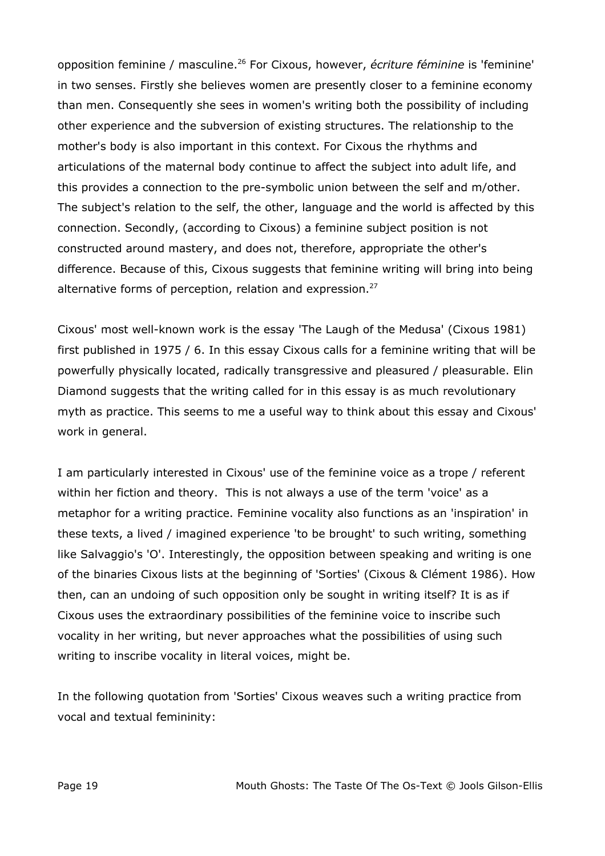opposition feminine / masculine.<sup>26</sup> For Cixous, however, écriture féminine is 'feminine' in two senses. Firstly she believes women are presently closer to a feminine economy than men. Consequently she sees in women's writing both the possibility of including other experience and the subversion of existing structures. The relationship to the mother's body is also important in this context. For Cixous the rhythms and articulations of the maternal body continue to affect the subject into adult life, and this provides a connection to the pre-symbolic union between the self and m/other. The subject's relation to the self, the other, language and the world is affected by this connection. Secondly, (according to Cixous) a feminine subject position is not constructed around mastery, and does not, therefore, appropriate the other's difference. Because of this, Cixous suggests that feminine writing will bring into being alternative forms of perception, relation and expression.<sup>27</sup>

Cixous' most well-known work is the essay 'The Laugh of the Medusa' (Cixous 1981) first published in 1975 / 6. In this essay Cixous calls for a feminine writing that will be powerfully physically located, radically transgressive and pleasured / pleasurable. Elin Diamond suggests that the writing called for in this essay is as much revolutionary myth as practice. This seems to me a useful way to think about this essay and Cixous' work in general.

I am particularly interested in Cixous' use of the feminine voice as a trope / referent within her fiction and theory. This is not always a use of the term 'voice' as a metaphor for a writing practice. Feminine vocality also functions as an 'inspiration' in these texts, a lived / imagined experience 'to be brought' to such writing, something like Salvaggio's 'O'. Interestingly, the opposition between speaking and writing is one of the binaries Cixous lists at the beginning of 'Sorties' (Cixous & Clément 1986). How then, can an undoing of such opposition only be sought in writing itself? It is as if Cixous uses the extraordinary possibilities of the feminine voice to inscribe such vocality in her writing, but never approaches what the possibilities of using such writing to inscribe vocality in literal voices, might be.

In the following quotation from 'Sorties' Cixous weaves such a writing practice from vocal and textual femininity: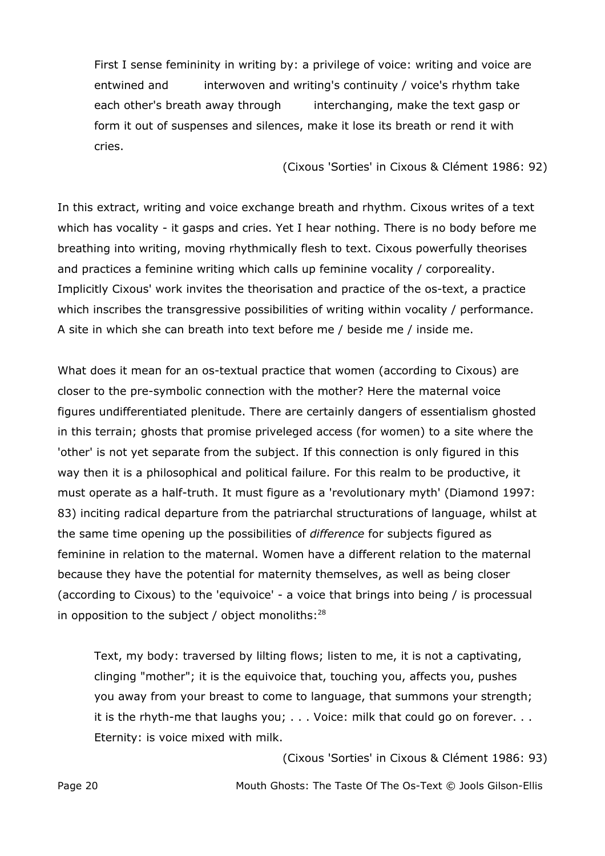First I sense femininity in writing by: a privilege of voice: writing and voice are entwined and interwoven and writing's continuity / voice's rhythm take each other's breath away through interchanging, make the text gasp or form it out of suspenses and silences, make it lose its breath or rend it with cries.

(Cixous 'Sorties' in Cixous & Clément 1986: 92)

In this extract, writing and voice exchange breath and rhythm. Cixous writes of a text which has vocality - it gasps and cries. Yet I hear nothing. There is no body before me breathing into writing, moving rhythmically flesh to text. Cixous powerfully theorises and practices a feminine writing which calls up feminine vocality / corporeality. Implicitly Cixous' work invites the theorisation and practice of the os-text, a practice which inscribes the transgressive possibilities of writing within vocality / performance. A site in which she can breath into text before me / beside me / inside me.

What does it mean for an os-textual practice that women (according to Cixous) are closer to the pre-symbolic connection with the mother? Here the maternal voice figures undifferentiated plenitude. There are certainly dangers of essentialism ghosted in this terrain; ghosts that promise priveleged access (for women) to a site where the 'other' is not yet separate from the subject. If this connection is only figured in this way then it is a philosophical and political failure. For this realm to be productive, it must operate as a half-truth. It must figure as a 'revolutionary myth' (Diamond 1997: 83) inciting radical departure from the patriarchal structurations of language, whilst at the same time opening up the possibilities of *difference* for subjects figured as feminine in relation to the maternal. Women have a different relation to the maternal because they have the potential for maternity themselves, as well as being closer (according to Cixous) to the 'equivoice' - a voice that brings into being / is processual in opposition to the subject / object monoliths: $^{28}$ 

Text, my body: traversed by lilting flows; listen to me, it is not a captivating, clinging "mother"; it is the equivoice that, touching you, affects you, pushes you away from your breast to come to language, that summons your strength; it is the rhyth-me that laughs you; . . . Voice: milk that could go on forever. . . Eternity: is voice mixed with milk.

(Cixous 'Sorties' in Cixous & Clément 1986: 93)

Page 20 Mouth Ghosts: The Taste Of The Os-Text © Jools Gilson-Ellis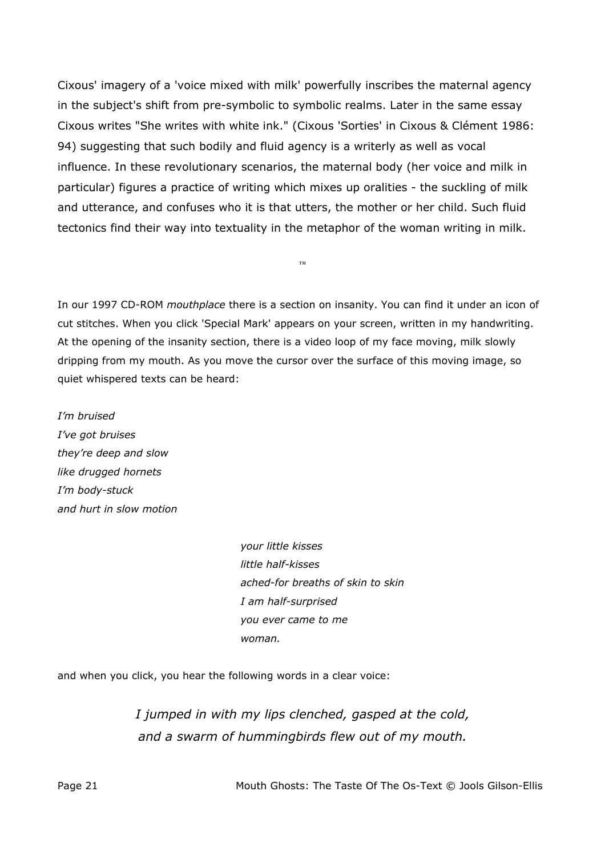Cixous' imagery of a 'voice mixed with milk' powerfully inscribes the maternal agency in the subject's shift from pre-symbolic to symbolic realms. Later in the same essay Cixous writes "She writes with white ink." (Cixous 'Sorties' in Cixous & Clément 1986: 94) suggesting that such bodily and fluid agency is a writerly as well as vocal influence. In these revolutionary scenarios, the maternal body (her voice and milk in particular) figures a practice of writing which mixes up oralities - the suckling of milk and utterance, and confuses who it is that utters, the mother or her child. Such fluid tectonics find their way into textuality in the metaphor of the woman writing in milk.

In our 1997 CD-ROM *mouthplace* there is a section on insanity. You can find it under an icon of cut stitches. When you click 'Special Mark' appears on your screen, written in my handwriting. At the opening of the insanity section, there is a video loop of my face moving, milk slowly dripping from my mouth. As you move the cursor over the surface of this moving image, so quiet whispered texts can be heard:

**TM** 

*I'm bruised I've got bruises they're deep and slow like drugged hornets I'm body-stuck and hurt in slow motion*

> *your little kisses little half-kisses ached-for breaths of skin to skin I am half-surprised you ever came to me woman.*

and when you click, you hear the following words in a clear voice:

*I jumped in with my lips clenched, gasped at the cold, and a swarm of hummingbirds flew out of my mouth.*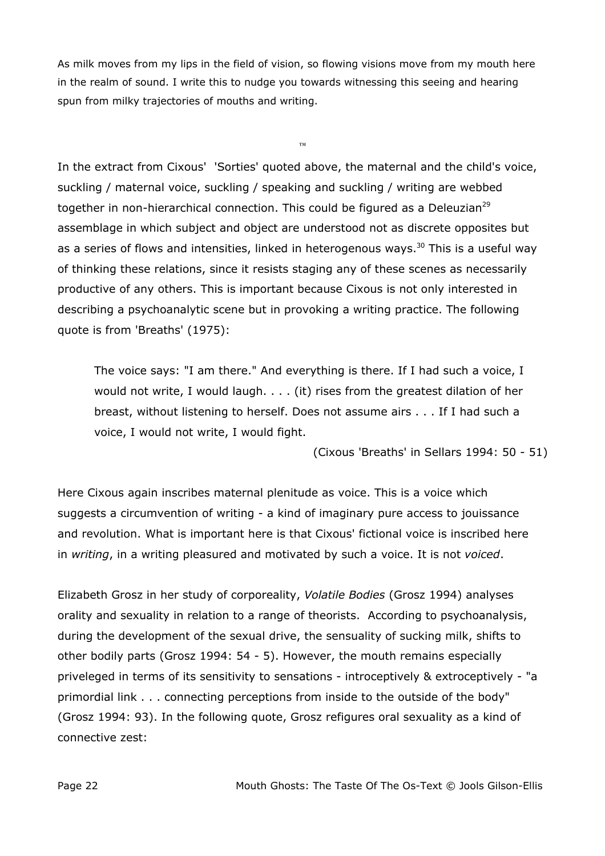As milk moves from my lips in the field of vision, so flowing visions move from my mouth here in the realm of sound. I write this to nudge you towards witnessing this seeing and hearing spun from milky trajectories of mouths and writing.

**TM** 

In the extract from Cixous' 'Sorties' quoted above, the maternal and the child's voice, suckling / maternal voice, suckling / speaking and suckling / writing are webbed together in non-hierarchical connection. This could be figured as a Deleuzian<sup>29</sup> assemblage in which subject and object are understood not as discrete opposites but as a series of flows and intensities, linked in heterogenous ways.<sup>30</sup> This is a useful way of thinking these relations, since it resists staging any of these scenes as necessarily productive of any others. This is important because Cixous is not only interested in describing a psychoanalytic scene but in provoking a writing practice. The following quote is from 'Breaths' (1975):

The voice says: "I am there." And everything is there. If I had such a voice, I would not write, I would laugh. . . . (it) rises from the greatest dilation of her breast, without listening to herself. Does not assume airs . . . If I had such a voice, I would not write, I would fight.

(Cixous 'Breaths' in Sellars 1994: 50 - 51)

Here Cixous again inscribes maternal plenitude as voice. This is a voice which suggests a circumvention of writing - a kind of imaginary pure access to jouissance and revolution. What is important here is that Cixous' fictional voice is inscribed here in *writing*, in a writing pleasured and motivated by such a voice. It is not *voiced*.

Elizabeth Grosz in her study of corporeality, *Volatile Bodies* (Grosz 1994) analyses orality and sexuality in relation to a range of theorists. According to psychoanalysis, during the development of the sexual drive, the sensuality of sucking milk, shifts to other bodily parts (Grosz 1994: 54 - 5). However, the mouth remains especially priveleged in terms of its sensitivity to sensations - introceptively & extroceptively - "a primordial link . . . connecting perceptions from inside to the outside of the body" (Grosz 1994: 93). In the following quote, Grosz refigures oral sexuality as a kind of connective zest: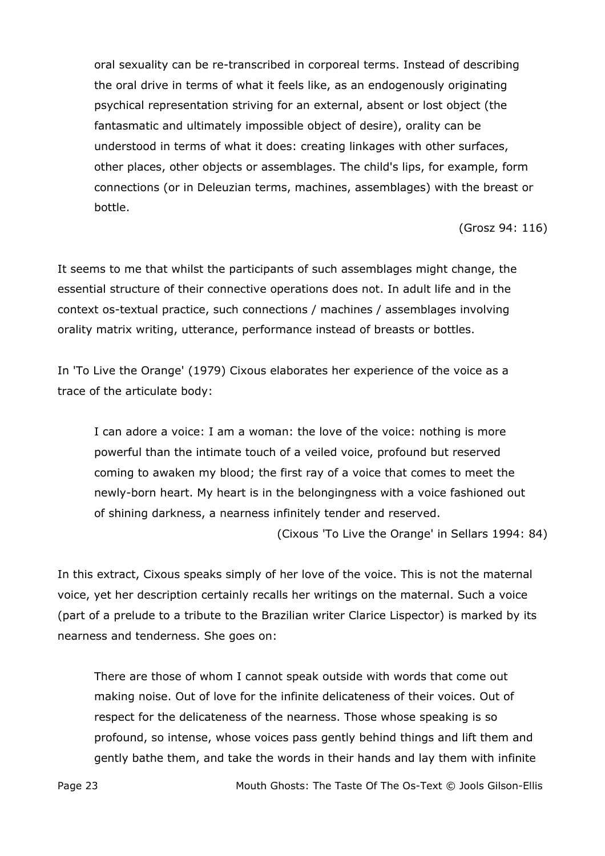oral sexuality can be re-transcribed in corporeal terms. Instead of describing the oral drive in terms of what it feels like, as an endogenously originating psychical representation striving for an external, absent or lost object (the fantasmatic and ultimately impossible object of desire), orality can be understood in terms of what it does: creating linkages with other surfaces, other places, other objects or assemblages. The child's lips, for example, form connections (or in Deleuzian terms, machines, assemblages) with the breast or bottle.

(Grosz 94: 116)

It seems to me that whilst the participants of such assemblages might change, the essential structure of their connective operations does not. In adult life and in the context os-textual practice, such connections / machines / assemblages involving orality matrix writing, utterance, performance instead of breasts or bottles.

In 'To Live the Orange' (1979) Cixous elaborates her experience of the voice as a trace of the articulate body:

I can adore a voice: I am a woman: the love of the voice: nothing is more powerful than the intimate touch of a veiled voice, profound but reserved coming to awaken my blood; the first ray of a voice that comes to meet the newly-born heart. My heart is in the belongingness with a voice fashioned out of shining darkness, a nearness infinitely tender and reserved.

(Cixous 'To Live the Orange' in Sellars 1994: 84)

In this extract, Cixous speaks simply of her love of the voice. This is not the maternal voice, yet her description certainly recalls her writings on the maternal. Such a voice (part of a prelude to a tribute to the Brazilian writer Clarice Lispector) is marked by its nearness and tenderness. She goes on:

There are those of whom I cannot speak outside with words that come out making noise. Out of love for the infinite delicateness of their voices. Out of respect for the delicateness of the nearness. Those whose speaking is so profound, so intense, whose voices pass gently behind things and lift them and gently bathe them, and take the words in their hands and lay them with infinite

Page 23 Mouth Ghosts: The Taste Of The Os-Text © Jools Gilson-Ellis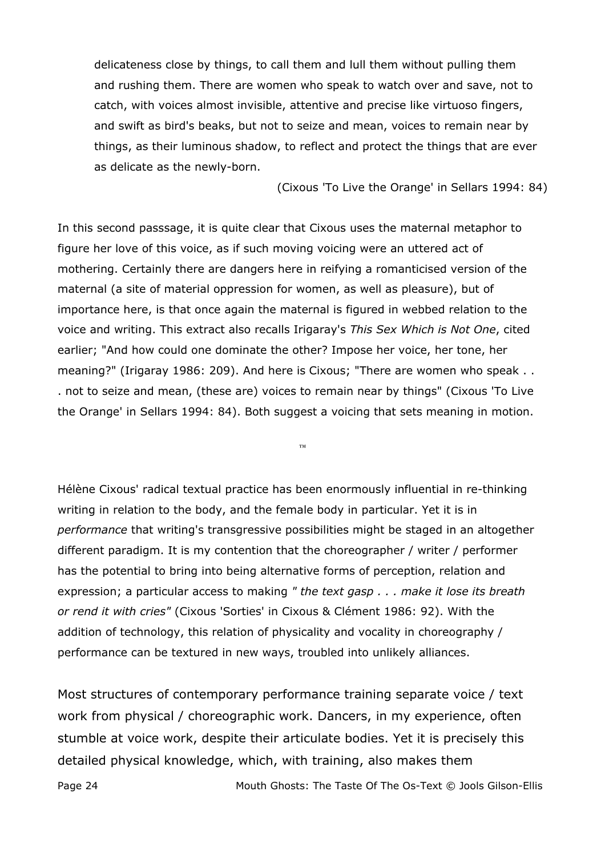delicateness close by things, to call them and lull them without pulling them and rushing them. There are women who speak to watch over and save, not to catch, with voices almost invisible, attentive and precise like virtuoso fingers, and swift as bird's beaks, but not to seize and mean, voices to remain near by things, as their luminous shadow, to reflect and protect the things that are ever as delicate as the newly-born.

(Cixous 'To Live the Orange' in Sellars 1994: 84)

In this second passsage, it is quite clear that Cixous uses the maternal metaphor to figure her love of this voice, as if such moving voicing were an uttered act of mothering. Certainly there are dangers here in reifying a romanticised version of the maternal (a site of material oppression for women, as well as pleasure), but of importance here, is that once again the maternal is figured in webbed relation to the voice and writing. This extract also recalls Irigaray's *This Sex Which is Not One*, cited earlier; "And how could one dominate the other? Impose her voice, her tone, her meaning?" (Irigaray 1986: 209). And here is Cixous; "There are women who speak . . . not to seize and mean, (these are) voices to remain near by things" (Cixous 'To Live the Orange' in Sellars 1994: 84). Both suggest a voicing that sets meaning in motion.

**TM** 

Hélène Cixous' radical textual practice has been enormously influential in re-thinking writing in relation to the body, and the female body in particular. Yet it is in *performance* that writing's transgressive possibilities might be staged in an altogether different paradigm. It is my contention that the choreographer / writer / performer has the potential to bring into being alternative forms of perception, relation and expression; a particular access to making *" the text gasp . . . make it lose its breath or rend it with cries"* (Cixous 'Sorties' in Cixous & Clément 1986: 92). With the addition of technology, this relation of physicality and vocality in choreography / performance can be textured in new ways, troubled into unlikely alliances.

Most structures of contemporary performance training separate voice / text work from physical / choreographic work. Dancers, in my experience, often stumble at voice work, despite their articulate bodies. Yet it is precisely this detailed physical knowledge, which, with training, also makes them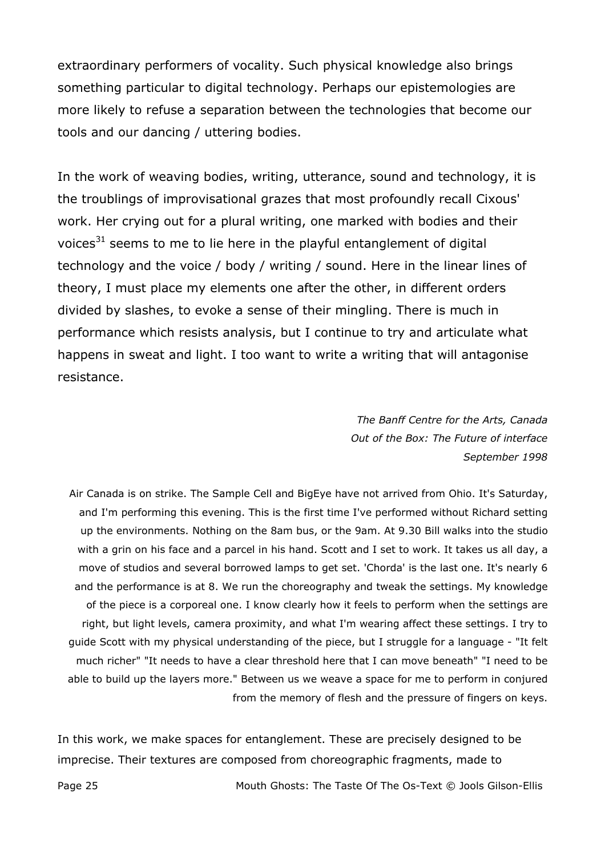extraordinary performers of vocality. Such physical knowledge also brings something particular to digital technology. Perhaps our epistemologies are more likely to refuse a separation between the technologies that become our tools and our dancing / uttering bodies.

In the work of weaving bodies, writing, utterance, sound and technology, it is the troublings of improvisational grazes that most profoundly recall Cixous' work. Her crying out for a plural writing, one marked with bodies and their voices<sup>31</sup> seems to me to lie here in the playful entanglement of digital technology and the voice / body / writing / sound. Here in the linear lines of theory, I must place my elements one after the other, in different orders divided by slashes, to evoke a sense of their mingling. There is much in performance which resists analysis, but I continue to try and articulate what happens in sweat and light. I too want to write a writing that will antagonise resistance.

> *The Banff Centre for the Arts, Canada Out of the Box: The Future of interface September 1998*

Air Canada is on strike. The Sample Cell and BigEye have not arrived from Ohio. It's Saturday, and I'm performing this evening. This is the first time I've performed without Richard setting up the environments. Nothing on the 8am bus, or the 9am. At 9.30 Bill walks into the studio with a grin on his face and a parcel in his hand. Scott and I set to work. It takes us all day, a move of studios and several borrowed lamps to get set. 'Chorda' is the last one. It's nearly 6 and the performance is at 8. We run the choreography and tweak the settings. My knowledge of the piece is a corporeal one. I know clearly how it feels to perform when the settings are right, but light levels, camera proximity, and what I'm wearing affect these settings. I try to guide Scott with my physical understanding of the piece, but I struggle for a language - "It felt much richer" "It needs to have a clear threshold here that I can move beneath" "I need to be able to build up the layers more." Between us we weave a space for me to perform in conjured from the memory of flesh and the pressure of fingers on keys.

In this work, we make spaces for entanglement. These are precisely designed to be imprecise. Their textures are composed from choreographic fragments, made to

Page 25 Mouth Ghosts: The Taste Of The Os-Text © Jools Gilson-Ellis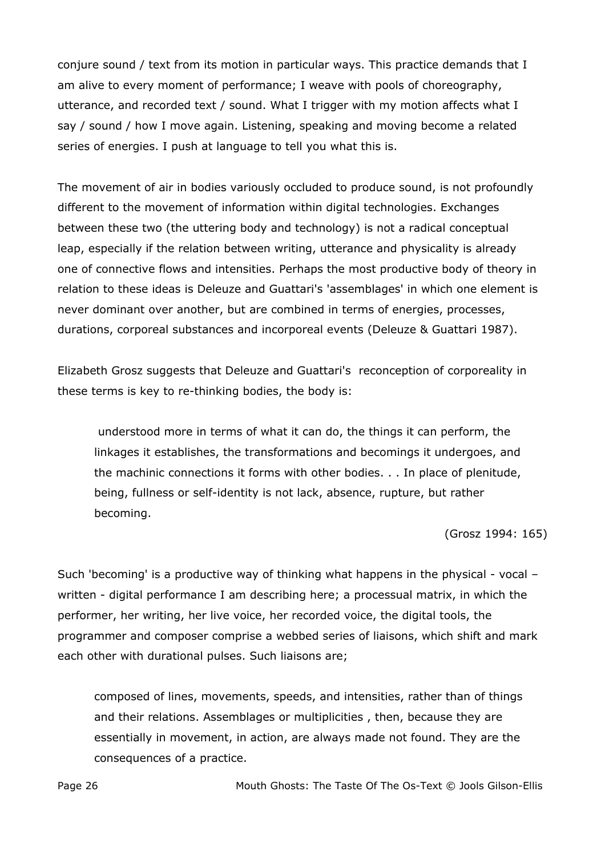conjure sound / text from its motion in particular ways. This practice demands that I am alive to every moment of performance; I weave with pools of choreography, utterance, and recorded text / sound. What I trigger with my motion affects what I say / sound / how I move again. Listening, speaking and moving become a related series of energies. I push at language to tell you what this is.

The movement of air in bodies variously occluded to produce sound, is not profoundly different to the movement of information within digital technologies. Exchanges between these two (the uttering body and technology) is not a radical conceptual leap, especially if the relation between writing, utterance and physicality is already one of connective flows and intensities. Perhaps the most productive body of theory in relation to these ideas is Deleuze and Guattari's 'assemblages' in which one element is never dominant over another, but are combined in terms of energies, processes, durations, corporeal substances and incorporeal events (Deleuze & Guattari 1987).

Elizabeth Grosz suggests that Deleuze and Guattari's reconception of corporeality in these terms is key to re-thinking bodies, the body is:

 understood more in terms of what it can do, the things it can perform, the linkages it establishes, the transformations and becomings it undergoes, and the machinic connections it forms with other bodies. . . In place of plenitude, being, fullness or self-identity is not lack, absence, rupture, but rather becoming.

(Grosz 1994: 165)

Such 'becoming' is a productive way of thinking what happens in the physical - vocal written - digital performance I am describing here; a processual matrix, in which the performer, her writing, her live voice, her recorded voice, the digital tools, the programmer and composer comprise a webbed series of liaisons, which shift and mark each other with durational pulses. Such liaisons are;

composed of lines, movements, speeds, and intensities, rather than of things and their relations. Assemblages or multiplicities , then, because they are essentially in movement, in action, are always made not found. They are the consequences of a practice.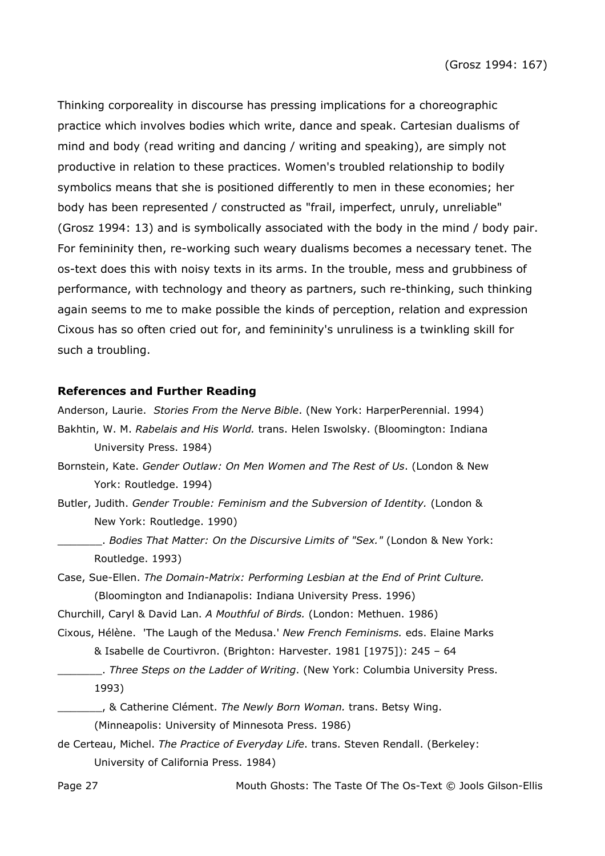Thinking corporeality in discourse has pressing implications for a choreographic practice which involves bodies which write, dance and speak. Cartesian dualisms of mind and body (read writing and dancing / writing and speaking), are simply not productive in relation to these practices. Women's troubled relationship to bodily symbolics means that she is positioned differently to men in these economies; her body has been represented / constructed as "frail, imperfect, unruly, unreliable" (Grosz 1994: 13) and is symbolically associated with the body in the mind / body pair. For femininity then, re-working such weary dualisms becomes a necessary tenet. The os-text does this with noisy texts in its arms. In the trouble, mess and grubbiness of performance, with technology and theory as partners, such re-thinking, such thinking again seems to me to make possible the kinds of perception, relation and expression Cixous has so often cried out for, and femininity's unruliness is a twinkling skill for such a troubling.

### **References and Further Reading**

Anderson, Laurie. *Stories From the Nerve Bible*. (New York: HarperPerennial. 1994) Bakhtin, W. M. *Rabelais and His World.* trans. Helen Iswolsky. (Bloomington: Indiana University Press. 1984)

Bornstein, Kate. *Gender Outlaw: On Men Women and The Rest of Us*. (London & New York: Routledge. 1994)

Butler, Judith. *Gender Trouble: Feminism and the Subversion of Identity.* (London & New York: Routledge. 1990)

\_\_\_\_\_\_\_. *Bodies That Matter: On the Discursive Limits of "Sex."* (London & New York: Routledge. 1993)

Case, Sue-Ellen. *The Domain-Matrix: Performing Lesbian at the End of Print Culture.* (Bloomington and Indianapolis: Indiana University Press. 1996)

Churchill, Caryl & David Lan. *A Mouthful of Birds.* (London: Methuen. 1986)

Cixous, Hélène. 'The Laugh of the Medusa.' *New French Feminisms.* eds. Elaine Marks

& Isabelle de Courtivron. (Brighton: Harvester. 1981 [1975]): 245 – 64

\_\_\_\_\_\_\_. *Three Steps on the Ladder of Writing*. (New York: Columbia University Press. 1993)

\_\_\_\_\_\_\_, & Catherine Clément. *The Newly Born Woman.* trans. Betsy Wing.

(Minneapolis: University of Minnesota Press. 1986)

de Certeau, Michel. *The Practice of Everyday Life*. trans. Steven Rendall. (Berkeley: University of California Press. 1984)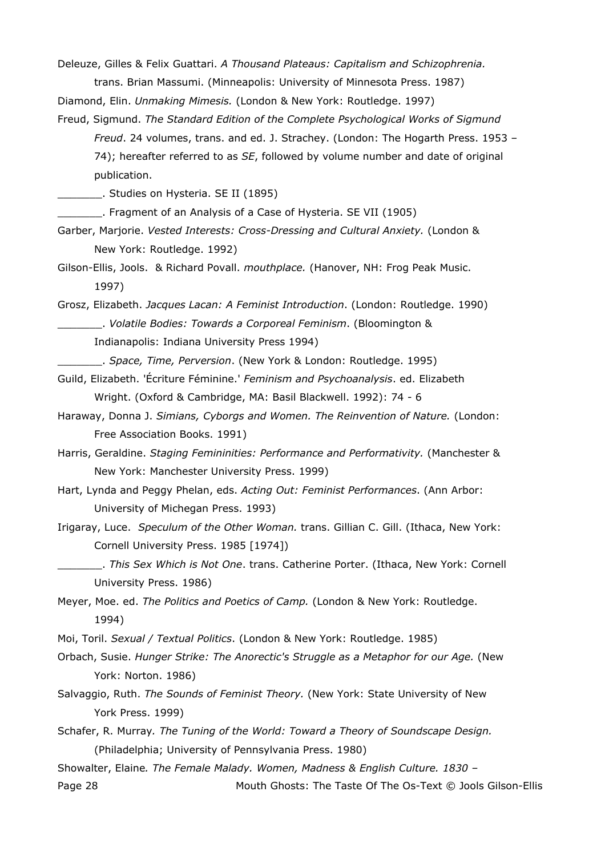Deleuze, Gilles & Felix Guattari. *A Thousand Plateaus: Capitalism and Schizophrenia.* trans. Brian Massumi. (Minneapolis: University of Minnesota Press. 1987)

Diamond, Elin. *Unmaking Mimesis.* (London & New York: Routledge. 1997)

Freud, Sigmund. *The Standard Edition of the Complete Psychological Works of Sigmund Freud*. 24 volumes, trans. and ed. J. Strachey. (London: The Hogarth Press. 1953 – 74); hereafter referred to as *SE*, followed by volume number and date of original

publication.

\_\_\_\_\_\_\_. Studies on Hysteria. SE II (1895)

\_\_\_\_\_\_\_. Fragment of an Analysis of a Case of Hysteria. SE VII (1905)

Garber, Marjorie. *Vested Interests: Cross-Dressing and Cultural Anxiety.* (London & New York: Routledge. 1992)

Gilson-Ellis, Jools. & Richard Povall. *mouthplace.* (Hanover, NH: Frog Peak Music. 1997)

Grosz, Elizabeth. *Jacques Lacan: A Feminist Introduction*. (London: Routledge. 1990) \_\_\_\_\_\_\_. *Volatile Bodies: Towards a Corporeal Feminism*. (Bloomington & Indianapolis: Indiana University Press 1994)

\_\_\_\_\_\_\_. *Space, Time, Perversion*. (New York & London: Routledge. 1995)

- Guild, Elizabeth. 'Écriture Féminine.' *Feminism and Psychoanalysis*. ed. Elizabeth Wright. (Oxford & Cambridge, MA: Basil Blackwell. 1992): 74 - 6
- Haraway, Donna J. *Simians, Cyborgs and Women. The Reinvention of Nature.* (London: Free Association Books. 1991)

Harris, Geraldine. *Staging Femininities: Performance and Performativity.* (Manchester & New York: Manchester University Press. 1999)

- Hart, Lynda and Peggy Phelan, eds. *Acting Out: Feminist Performances*. (Ann Arbor: University of Michegan Press. 1993)
- Irigaray, Luce. *Speculum of the Other Woman.* trans. Gillian C. Gill. (Ithaca, New York: Cornell University Press. 1985 [1974])

\_\_\_\_\_\_\_. *This Sex Which is Not One*. trans. Catherine Porter. (Ithaca, New York: Cornell University Press. 1986)

Meyer, Moe. ed. *The Politics and Poetics of Camp.* (London & New York: Routledge. 1994)

Moi, Toril. *Sexual / Textual Politics*. (London & New York: Routledge. 1985)

- Orbach, Susie. *Hunger Strike: The Anorectic's Struggle as a Metaphor for our Age.* (New York: Norton. 1986)
- Salvaggio, Ruth. *The Sounds of Feminist Theory.* (New York: State University of New York Press. 1999)
- Schafer, R. Murray*. The Tuning of the World: Toward a Theory of Soundscape Design.* (Philadelphia; University of Pennsylvania Press. 1980)
- Page 28 Mouth Ghosts: The Taste Of The Os-Text © Jools Gilson-Ellis Showalter, Elaine*. The Female Malady. Women, Madness & English Culture. 1830 –*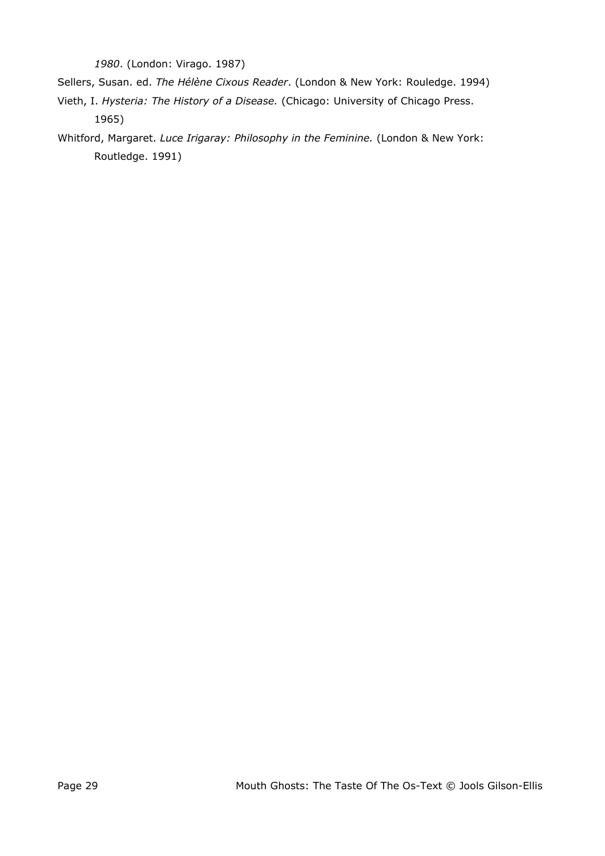*1980*. (London: Virago. 1987)

Sellers, Susan. ed. *The Hélène Cixous Reader*. (London & New York: Rouledge. 1994) Vieth, I. *Hysteria: The History of a Disease.* (Chicago: University of Chicago Press.

1965)

Whitford, Margaret. *Luce Irigaray: Philosophy in the Feminine.* (London & New York: Routledge. 1991)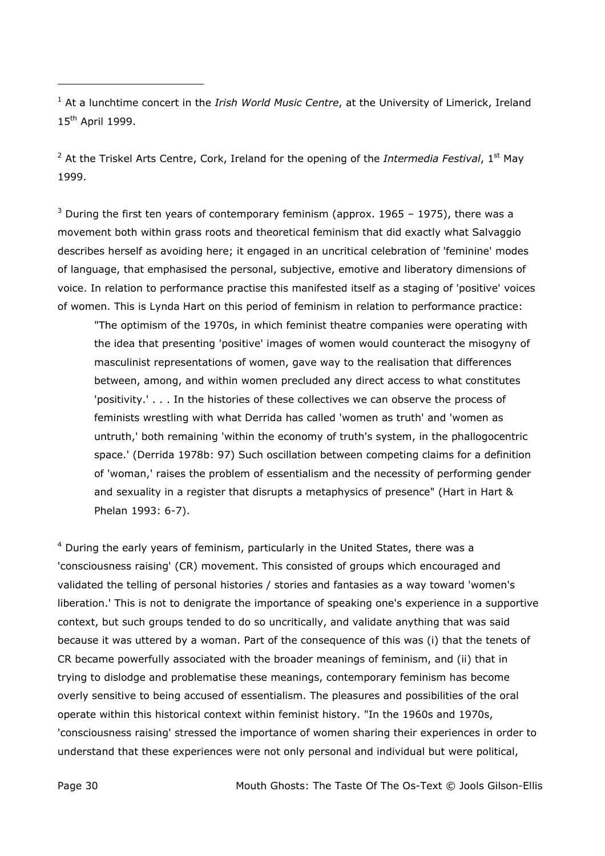<sup>1</sup> At a lunchtime concert in the *Irish World Music Centre*, at the University of Limerick, Ireland 15th April 1999.

<sup>2</sup> At the Triskel Arts Centre, Cork, Ireland for the opening of the *Intermedia Festival*, 1<sup>st</sup> May 1999.

 $3$  During the first ten years of contemporary feminism (approx. 1965 – 1975), there was a movement both within grass roots and theoretical feminism that did exactly what Salvaggio describes herself as avoiding here; it engaged in an uncritical celebration of 'feminine' modes of language, that emphasised the personal, subjective, emotive and liberatory dimensions of voice. In relation to performance practise this manifested itself as a staging of 'positive' voices of women. This is Lynda Hart on this period of feminism in relation to performance practice:

"The optimism of the 1970s, in which feminist theatre companies were operating with the idea that presenting 'positive' images of women would counteract the misogyny of masculinist representations of women, gave way to the realisation that differences between, among, and within women precluded any direct access to what constitutes 'positivity.' . . . In the histories of these collectives we can observe the process of feminists wrestling with what Derrida has called 'women as truth' and 'women as untruth,' both remaining 'within the economy of truth's system, in the phallogocentric space.' (Derrida 1978b: 97) Such oscillation between competing claims for a definition of 'woman,' raises the problem of essentialism and the necessity of performing gender and sexuality in a register that disrupts a metaphysics of presence" (Hart in Hart & Phelan 1993: 6-7).

<sup>4</sup> During the early years of feminism, particularly in the United States, there was a 'consciousness raising' (CR) movement. This consisted of groups which encouraged and validated the telling of personal histories / stories and fantasies as a way toward 'women's liberation.' This is not to denigrate the importance of speaking one's experience in a supportive context, but such groups tended to do so uncritically, and validate anything that was said because it was uttered by a woman. Part of the consequence of this was (i) that the tenets of CR became powerfully associated with the broader meanings of feminism, and (ii) that in trying to dislodge and problematise these meanings, contemporary feminism has become overly sensitive to being accused of essentialism. The pleasures and possibilities of the oral operate within this historical context within feminist history. "In the 1960s and 1970s, 'consciousness raising' stressed the importance of women sharing their experiences in order to understand that these experiences were not only personal and individual but were political,

j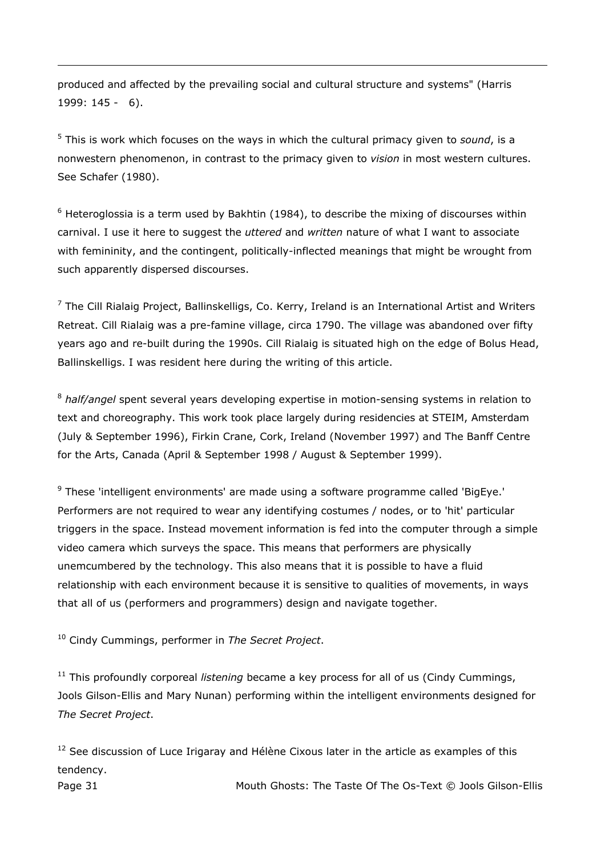produced and affected by the prevailing social and cultural structure and systems" (Harris 1999: 145 - 6).

j

5 This is work which focuses on the ways in which the cultural primacy given to *sound*, is a nonwestern phenomenon, in contrast to the primacy given to *vision* in most western cultures. See Schafer (1980).

 $^6$  Heteroglossia is a term used by Bakhtin (1984), to describe the mixing of discourses within carnival. I use it here to suggest the *uttered* and *written* nature of what I want to associate with femininity, and the contingent, politically-inflected meanings that might be wrought from such apparently dispersed discourses.

 $^7$  The Cill Rialaig Project, Ballinskelligs, Co. Kerry, Ireland is an International Artist and Writers Retreat. Cill Rialaig was a pre-famine village, circa 1790. The village was abandoned over fifty years ago and re-built during the 1990s. Cill Rialaig is situated high on the edge of Bolus Head, Ballinskelligs. I was resident here during the writing of this article.

<sup>8</sup> *half/angel* spent several years developing expertise in motion-sensing systems in relation to text and choreography. This work took place largely during residencies at STEIM, Amsterdam (July & September 1996), Firkin Crane, Cork, Ireland (November 1997) and The Banff Centre for the Arts, Canada (April & September 1998 / August & September 1999).

<sup>9</sup> These 'intelligent environments' are made using a software programme called 'BigEye.' Performers are not required to wear any identifying costumes / nodes, or to 'hit' particular triggers in the space. Instead movement information is fed into the computer through a simple video camera which surveys the space. This means that performers are physically unemcumbered by the technology. This also means that it is possible to have a fluid relationship with each environment because it is sensitive to qualities of movements, in ways that all of us (performers and programmers) design and navigate together.

10 Cindy Cummings, performer in *The Secret Project*.

<sup>11</sup> This profoundly corporeal *listening* became a key process for all of us (Cindy Cummings, Jools Gilson-Ellis and Mary Nunan) performing within the intelligent environments designed for *The Secret Project*.

 $12$  See discussion of Luce Irigaray and Hélène Cixous later in the article as examples of this tendency.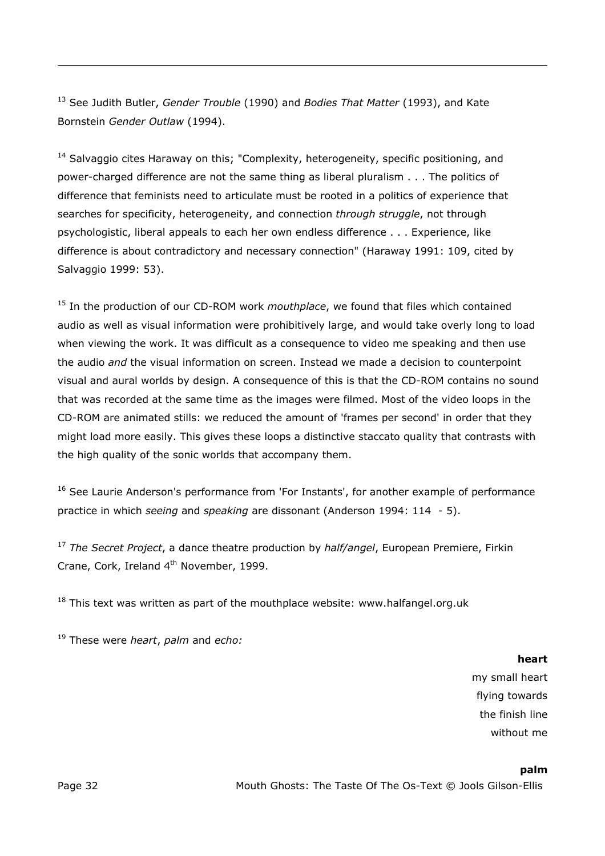13 See Judith Butler, *Gender Trouble* (1990) and *Bodies That Matter* (1993), and Kate Bornstein *Gender Outlaw* (1994).

<sup>14</sup> Salvaggio cites Haraway on this; "Complexity, heterogeneity, specific positioning, and power-charged difference are not the same thing as liberal pluralism . . . The politics of difference that feminists need to articulate must be rooted in a politics of experience that searches for specificity, heterogeneity, and connection *through struggle*, not through psychologistic, liberal appeals to each her own endless difference . . . Experience, like difference is about contradictory and necessary connection" (Haraway 1991: 109, cited by Salvaggio 1999: 53).

15 In the production of our CD-ROM work *mouthplace*, we found that files which contained audio as well as visual information were prohibitively large, and would take overly long to load when viewing the work. It was difficult as a consequence to video me speaking and then use the audio *and* the visual information on screen. Instead we made a decision to counterpoint visual and aural worlds by design. A consequence of this is that the CD-ROM contains no sound that was recorded at the same time as the images were filmed. Most of the video loops in the CD-ROM are animated stills: we reduced the amount of 'frames per second' in order that they might load more easily. This gives these loops a distinctive staccato quality that contrasts with the high quality of the sonic worlds that accompany them.

<sup>16</sup> See Laurie Anderson's performance from 'For Instants', for another example of performance practice in which *seeing* and *speaking* are dissonant (Anderson 1994: 114 - 5).

<sup>17</sup> *The Secret Project*, a dance theatre production by *half/angel*, European Premiere, Firkin Crane, Cork, Ireland 4<sup>th</sup> November, 1999.

 $^{18}$  This text was written as part of the mouthplace website: www.halfangel.org.uk

19 These were *heart*, *palm* and *echo:*

#### **heart**

my small heart flying towards the finish line without me

j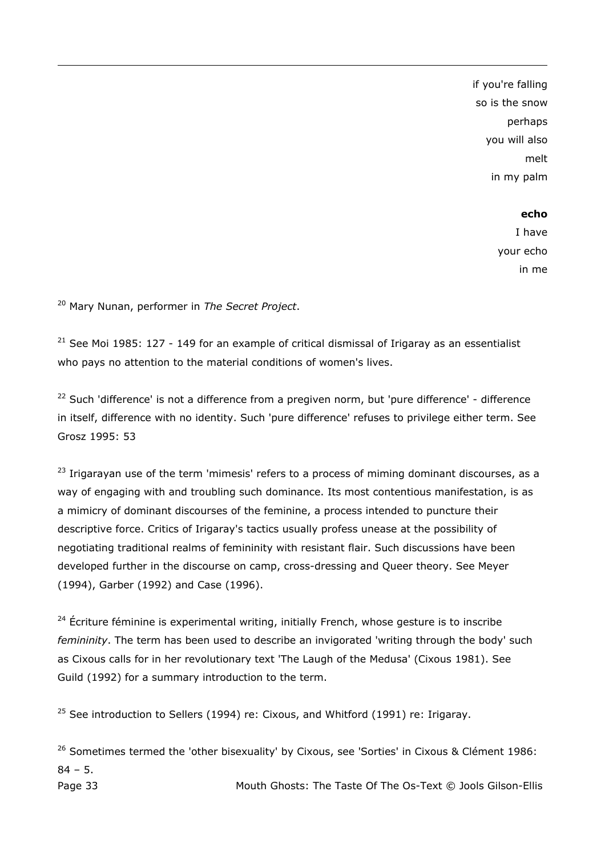if you're falling so is the snow perhaps you will also melt in my palm

#### **echo**

I have your echo in me

20 Mary Nunan, performer in *The Secret Project*.

j

 $^{21}$  See Moi 1985: 127 - 149 for an example of critical dismissal of Irigaray as an essentialist who pays no attention to the material conditions of women's lives.

<sup>22</sup> Such 'difference' is not a difference from a pregiven norm, but 'pure difference' - difference in itself, difference with no identity. Such 'pure difference' refuses to privilege either term. See Grosz 1995: 53

 $^{23}$  Irigarayan use of the term 'mimesis' refers to a process of miming dominant discourses, as a way of engaging with and troubling such dominance. Its most contentious manifestation, is as a mimicry of dominant discourses of the feminine, a process intended to puncture their descriptive force. Critics of Irigaray's tactics usually profess unease at the possibility of negotiating traditional realms of femininity with resistant flair. Such discussions have been developed further in the discourse on camp, cross-dressing and Queer theory. See Meyer (1994), Garber (1992) and Case (1996).

<sup>24</sup> Écriture féminine is experimental writing, initially French, whose gesture is to inscribe *femininity*. The term has been used to describe an invigorated 'writing through the body' such as Cixous calls for in her revolutionary text 'The Laugh of the Medusa' (Cixous 1981). See Guild (1992) for a summary introduction to the term.

<sup>25</sup> See introduction to Sellers (1994) re: Cixous, and Whitford (1991) re: Irigaray.

Page 33 Mouth Ghosts: The Taste Of The Os-Text © Jools Gilson-Ellis <sup>26</sup> Sometimes termed the 'other bisexuality' by Cixous, see 'Sorties' in Cixous & Clément 1986:  $84 - 5$ .